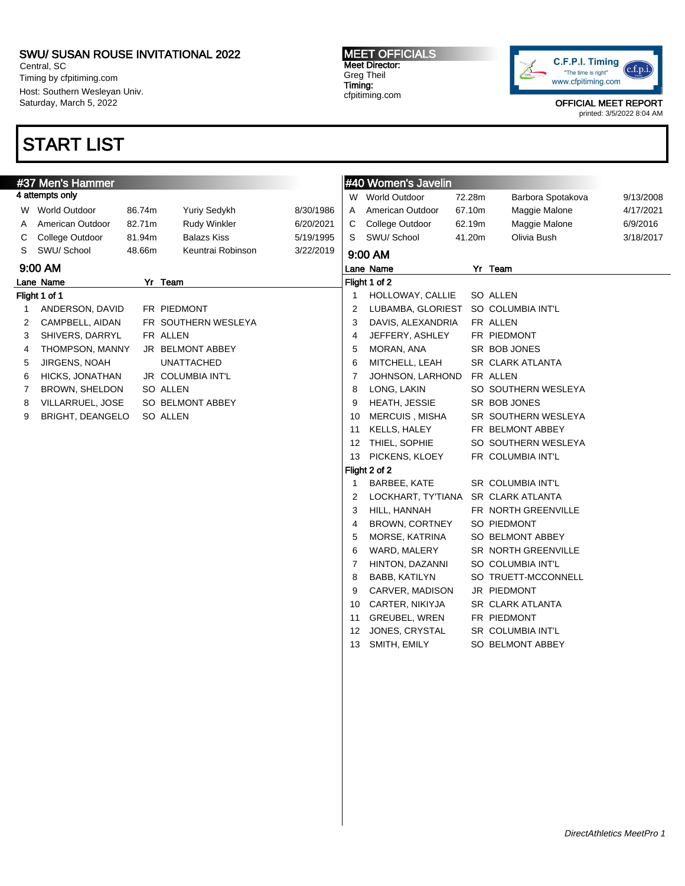Central, SC Timing by cfpitiming.com Host: Southern Wesleyan Univ. Saturday, March 5, 2022

## START LIST

MEET OFFICIALS Meet Director: Greg Theil Timing: cfpitiming.com



OFFICIAL MEET REPORT

|   | #37 Men's Hammer      |        |                     |           |                         | #40 Women's Javelin   |        |                         |           |
|---|-----------------------|--------|---------------------|-----------|-------------------------|-----------------------|--------|-------------------------|-----------|
|   | 4 attempts only       |        |                     |           |                         | W World Outdoor       | 72.28m | Barbora Spotakova       | 9/13/2008 |
|   | W World Outdoor       | 86.74m | Yuriy Sedykh        | 8/30/1986 | A                       | American Outdoor      | 67.10m | Maggie Malone           | 4/17/2021 |
| Α | American Outdoor      | 82.71m | Rudy Winkler        | 6/20/2021 | С                       | College Outdoor       | 62.19m | Maggie Malone           | 6/9/2016  |
| С | College Outdoor       | 81.94m | <b>Balazs Kiss</b>  | 5/19/1995 | S                       | SWU/ School           | 41.20m | Olivia Bush             | 3/18/2017 |
| S | SWU/ School           | 48.66m | Keuntrai Robinson   | 3/22/2019 |                         | 9:00 AM               |        |                         |           |
|   | 9:00 AM               |        |                     |           |                         | Lane Name             |        | Yr Team                 |           |
|   | Lane Name             |        | Yr Team             |           |                         | Flight 1 of 2         |        |                         |           |
|   | Flight 1 of 1         |        |                     |           |                         | HOLLOWAY, CALLIE      |        | SO ALLEN                |           |
| 1 | ANDERSON, DAVID       |        | FR PIEDMONT         |           | $\overline{\mathbf{c}}$ | LUBAMBA, GLORIEST     |        | SO COLUMBIA INT'L       |           |
| 2 | CAMPBELL, AIDAN       |        | FR SOUTHERN WESLEYA |           | 3                       | DAVIS, ALEXANDRIA     |        | FR ALLEN                |           |
| 3 | SHIVERS, DARRYL       |        | FR ALLEN            |           | 4                       | JEFFERY, ASHLEY       |        | FR PIEDMONT             |           |
| 4 | THOMPSON, MANNY       |        | JR BELMONT ABBEY    |           | 5                       | MORAN, ANA            |        | SR BOB JONES            |           |
| 5 | JIRGENS, NOAH         |        | <b>UNATTACHED</b>   |           | 6                       | MITCHELL, LEAH        |        | SR CLARK ATLANTA        |           |
| 6 | HICKS, JONATHAN       |        | JR COLUMBIA INT'L   |           | $\overline{7}$          | JOHNSON, LARHOND      |        | FR ALLEN                |           |
| 7 | <b>BROWN, SHELDON</b> |        | SO ALLEN            |           | 8                       | LONG, LAKIN           |        | SO SOUTHERN WESLEYA     |           |
| 8 | VILLARRUEL, JOSE      |        | SO BELMONT ABBEY    |           | 9                       | HEATH, JESSIE         |        | SR BOB JONES            |           |
| 9 | BRIGHT, DEANGELO      |        | SO ALLEN            |           | 10                      | <b>MERCUIS, MISHA</b> |        | SR SOUTHERN WESLEYA     |           |
|   |                       |        |                     |           | 11                      | KELLS, HALEY          |        | FR BELMONT ABBEY        |           |
|   |                       |        |                     |           | 12                      | THIEL, SOPHIE         |        | SO SOUTHERN WESLEYA     |           |
|   |                       |        |                     |           | 13                      | PICKENS, KLOEY        |        | FR COLUMBIA INT'L       |           |
|   |                       |        |                     |           |                         | Flight 2 of 2         |        |                         |           |
|   |                       |        |                     |           | 1                       | BARBEE, KATE          |        | SR COLUMBIA INT'L       |           |
|   |                       |        |                     |           | 2                       | LOCKHART, TY'TIANA    |        | <b>SR CLARK ATLANTA</b> |           |
|   |                       |        |                     |           | 3                       | HILL, HANNAH          |        | FR NORTH GREENVILLE     |           |
|   |                       |        |                     |           | 4                       | <b>BROWN, CORTNEY</b> |        | SO PIEDMONT             |           |
|   |                       |        |                     |           | 5                       | MORSE, KATRINA        |        | SO BELMONT ABBEY        |           |
|   |                       |        |                     |           | 6                       | WARD, MALERY          |        | SR NORTH GREENVILLE     |           |
|   |                       |        |                     |           | $\overline{7}$          | HINTON, DAZANNI       |        | SO COLUMBIA INT'L       |           |
|   |                       |        |                     |           | 8                       | BABB, KATILYN         |        | SO TRUETT-MCCONNELL     |           |
|   |                       |        |                     |           | 9                       | CARVER, MADISON       |        | JR PIEDMONT             |           |
|   |                       |        |                     |           | 10                      | CARTER, NIKIYJA       |        | SR CLARK ATLANTA        |           |
|   |                       |        |                     |           | 11                      | <b>GREUBEL, WREN</b>  |        | FR PIEDMONT             |           |
|   |                       |        |                     |           | 12                      | JONES, CRYSTAL        |        | SR COLUMBIA INT'L       |           |
|   |                       |        |                     |           | 13                      | SMITH, EMILY          |        | SO BELMONT ABBEY        |           |
|   |                       |        |                     |           |                         |                       |        |                         |           |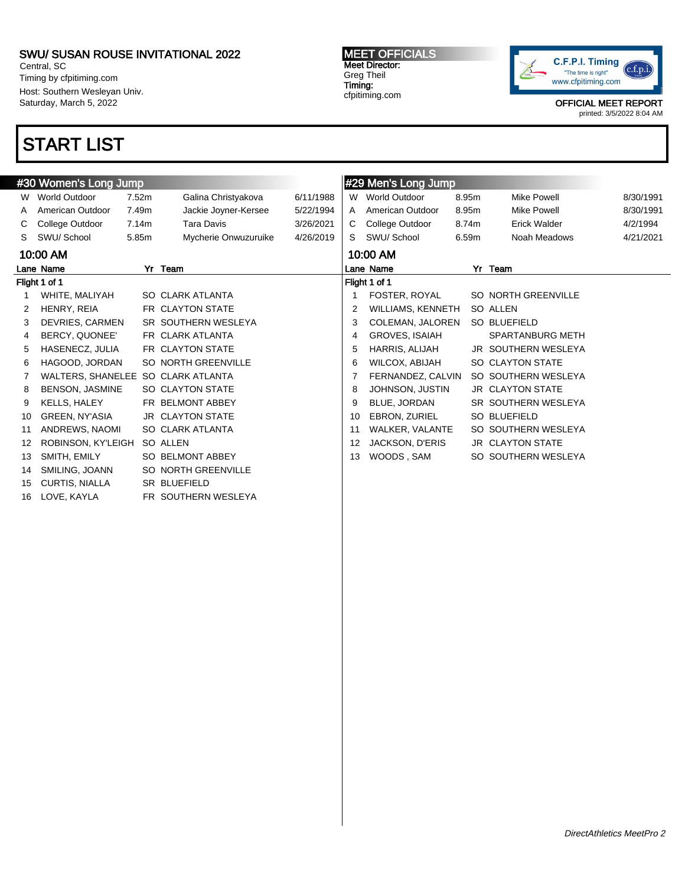Central, SC Timing by cfpitiming.com Host: Southern Wesleyan Univ. Saturday, March 5, 2022

# START LIST

MEET OFFICIALS Meet Director: Greg Theil Timing: cfpitiming.com



OFFICIAL MEET REPORT

|    | #30 Women's Long Jump              |       |                         |           |    | #29 Men's Long Jump      |       |                         |           |
|----|------------------------------------|-------|-------------------------|-----------|----|--------------------------|-------|-------------------------|-----------|
| W  | World Outdoor                      | 7.52m | Galina Christyakova     | 6/11/1988 |    | W World Outdoor          | 8.95m | <b>Mike Powell</b>      | 8/30/1991 |
| A  | American Outdoor                   | 7.49m | Jackie Joyner-Kersee    | 5/22/1994 | A  | American Outdoor         | 8.95m | <b>Mike Powell</b>      | 8/30/1991 |
| C. | College Outdoor                    | 7.14m | <b>Tara Davis</b>       | 3/26/2021 | C  | College Outdoor          | 8.74m | Erick Walder            | 4/2/1994  |
| S. | SWU/ School                        | 5.85m | Mycherie Onwuzuruike    | 4/26/2019 | S. | SWU/School               | 6.59m | Noah Meadows            | 4/21/2021 |
|    | 10:00 AM                           |       |                         |           |    | 10:00 AM                 |       |                         |           |
|    | Lane Name                          |       | Yr Team                 |           |    | Lane Name                |       | Yr Team                 |           |
|    | Flight 1 of 1                      |       |                         |           |    | Flight 1 of 1            |       |                         |           |
| 1  | WHITE, MALIYAH                     |       | SO CLARK ATLANTA        |           |    | FOSTER, ROYAL            |       | SO NORTH GREENVILLE     |           |
| 2  | HENRY, REIA                        |       | FR CLAYTON STATE        |           | 2  | <b>WILLIAMS, KENNETH</b> |       | SO ALLEN                |           |
| 3  | DEVRIES, CARMEN                    |       | SR SOUTHERN WESLEYA     |           | 3  | COLEMAN, JALOREN         |       | SO BLUEFIELD            |           |
| 4  | BERCY, QUONEE'                     |       | FR CLARK ATLANTA        |           | 4  | GROVES, ISAIAH           |       | <b>SPARTANBURG METH</b> |           |
| 5  | HASENECZ, JULIA                    |       | FR CLAYTON STATE        |           | 5  | HARRIS, ALIJAH           |       | JR SOUTHERN WESLEYA     |           |
| 6  | HAGOOD, JORDAN                     |       | SO NORTH GREENVILLE     |           | 6  | WILCOX, ABIJAH           |       | SO CLAYTON STATE        |           |
|    | WALTERS, SHANELEE SO CLARK ATLANTA |       |                         |           |    | FERNANDEZ, CALVIN        |       | SO SOUTHERN WESLEYA     |           |
| 8  | <b>BENSON, JASMINE</b>             |       | SO CLAYTON STATE        |           | 8  | JOHNSON, JUSTIN          |       | <b>JR CLAYTON STATE</b> |           |
| 9  | KELLS, HALEY                       |       | FR BELMONT ABBEY        |           | 9  | BLUE, JORDAN             |       | SR SOUTHERN WESLEYA     |           |
| 10 | GREEN, NY'ASIA                     |       | <b>JR CLAYTON STATE</b> |           | 10 | EBRON, ZURIEL            |       | <b>SO BLUEFIELD</b>     |           |
| 11 | ANDREWS, NAOMI                     |       | SO CLARK ATLANTA        |           | 11 | WALKER, VALANTE          |       | SO SOUTHERN WESLEYA     |           |
| 12 | ROBINSON, KY'LEIGH                 |       | SO ALLEN                |           | 12 | JACKSON, D'ERIS          |       | <b>JR CLAYTON STATE</b> |           |
| 13 | SMITH, EMILY                       |       | SO BELMONT ABBEY        |           | 13 | WOODS, SAM               |       | SO SOUTHERN WESLEYA     |           |
| 14 | SMILING, JOANN                     |       | SO NORTH GREENVILLE     |           |    |                          |       |                         |           |
| 15 | CURTIS, NIALLA                     |       | <b>SR BLUEFIELD</b>     |           |    |                          |       |                         |           |
| 16 | LOVE, KAYLA                        |       | FR SOUTHERN WESLEYA     |           |    |                          |       |                         |           |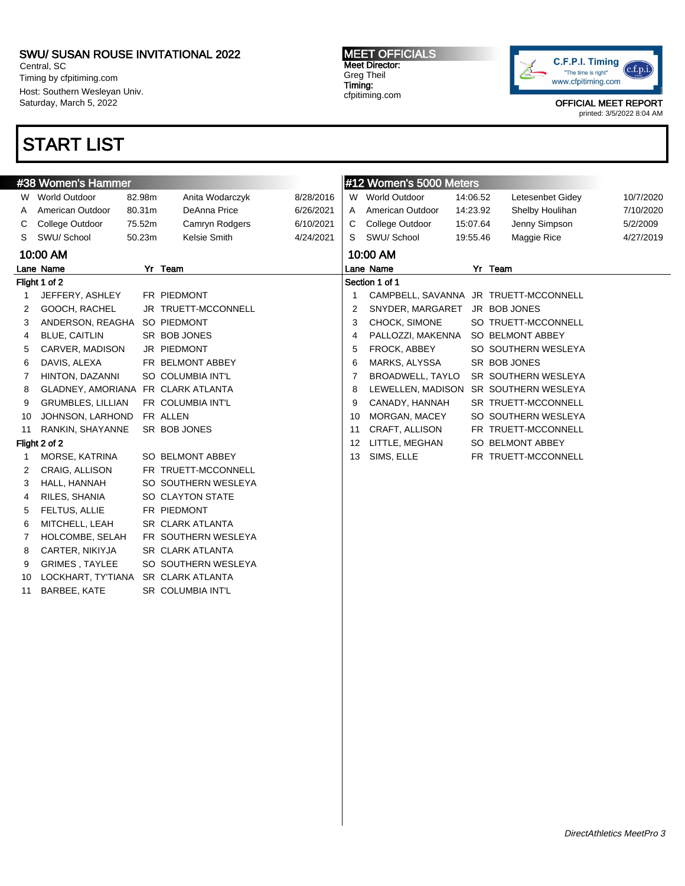Central, SC Timing by cfpitiming.com Host: Southern Wesleyan Univ. Saturday, March 5, 2022

## START LIST

MEET OFFICIALS Meet Director: Greg Theil Timing: cfpitiming.com



OFFICIAL MEET REPORT

|    | #38 Women's Hammer                 |        |                         |           |    | #12 Women's 5000 Meters |          |                                       |           |
|----|------------------------------------|--------|-------------------------|-----------|----|-------------------------|----------|---------------------------------------|-----------|
| W  | <b>World Outdoor</b>               | 82.98m | Anita Wodarczyk         | 8/28/2016 | W  | <b>World Outdoor</b>    | 14:06.52 | Letesenbet Gidey                      | 10/7/2020 |
|    | American Outdoor                   | 80.31m | DeAnna Price            | 6/26/2021 | A  | American Outdoor        | 14:23.92 | Shelby Houlihan                       | 7/10/2020 |
| C  | College Outdoor                    | 75.52m | Camryn Rodgers          | 6/10/2021 | С  | College Outdoor         | 15:07.64 | Jenny Simpson                         | 5/2/2009  |
| S  | SWU/ School                        | 50.23m | Kelsie Smith            | 4/24/2021 | S  | SWU/ School             | 19:55.46 | Maggie Rice                           | 4/27/2019 |
|    | 10:00 AM                           |        |                         |           |    | 10:00 AM                |          |                                       |           |
|    | Lane Name                          |        | Yr Team                 |           |    | Lane Name               |          | Yr Team                               |           |
|    | Flight 1 of 2                      |        |                         |           |    | Section 1 of 1          |          |                                       |           |
| 1  | JEFFERY, ASHLEY                    |        | FR PIEDMONT             |           | 1  |                         |          | CAMPBELL, SAVANNA JR TRUETT-MCCONNELL |           |
| 2  | GOOCH, RACHEL                      |        | JR TRUETT-MCCONNELL     |           | 2  | SNYDER, MARGARET        |          | JR BOB JONES                          |           |
| 3  | ANDERSON, REAGHA                   |        | SO PIEDMONT             |           | 3  | CHOCK, SIMONE           |          | SO TRUETT-MCCONNELL                   |           |
| 4  | <b>BLUE, CAITLIN</b>               |        | SR BOB JONES            |           | 4  | PALLOZZI, MAKENNA       |          | SO BELMONT ABBEY                      |           |
| 5  | CARVER, MADISON                    |        | JR PIEDMONT             |           | 5  | FROCK, ABBEY            |          | SO SOUTHERN WESLEYA                   |           |
| 6  | DAVIS, ALEXA                       |        | FR BELMONT ABBEY        |           | 6  | MARKS, ALYSSA           |          | SR BOB JONES                          |           |
| 7  | HINTON, DAZANNI                    |        | SO COLUMBIA INT'L       |           | 7  | BROADWELL, TAYLO        |          | SR SOUTHERN WESLEYA                   |           |
| 8  | GLADNEY, AMORIANA FR CLARK ATLANTA |        |                         |           | 8  | LEWELLEN, MADISON       |          | SR SOUTHERN WESLEYA                   |           |
| 9  | <b>GRUMBLES, LILLIAN</b>           |        | FR COLUMBIA INT'L       |           | 9  | CANADY, HANNAH          |          | SR TRUETT-MCCONNELL                   |           |
| 10 | JOHNSON, LARHOND                   |        | FR ALLEN                |           | 10 | MORGAN, MACEY           |          | SO SOUTHERN WESLEYA                   |           |
| 11 | RANKIN, SHAYANNE                   |        | SR BOB JONES            |           | 11 | CRAFT, ALLISON          |          | FR TRUETT-MCCONNELL                   |           |
|    | Flight 2 of 2                      |        |                         |           | 12 | LITTLE, MEGHAN          |          | SO BELMONT ABBEY                      |           |
| -1 | MORSE, KATRINA                     |        | SO BELMONT ABBEY        |           | 13 | SIMS, ELLE              |          | FR TRUETT-MCCONNELL                   |           |
| 2  | CRAIG, ALLISON                     |        | FR TRUETT-MCCONNELL     |           |    |                         |          |                                       |           |
| 3  | HALL, HANNAH                       |        | SO SOUTHERN WESLEYA     |           |    |                         |          |                                       |           |
| 4  | RILES, SHANIA                      |        | SO CLAYTON STATE        |           |    |                         |          |                                       |           |
| 5  | FELTUS, ALLIE                      |        | FR PIEDMONT             |           |    |                         |          |                                       |           |
| 6  | MITCHELL, LEAH                     |        | <b>SR CLARK ATLANTA</b> |           |    |                         |          |                                       |           |
| 7  | HOLCOMBE, SELAH                    |        | FR SOUTHERN WESLEYA     |           |    |                         |          |                                       |           |
| 8  | CARTER, NIKIYJA                    |        | <b>SR CLARK ATLANTA</b> |           |    |                         |          |                                       |           |
| 9  | <b>GRIMES, TAYLEE</b>              |        | SO SOUTHERN WESLEYA     |           |    |                         |          |                                       |           |
| 10 | LOCKHART, TY'TIANA                 |        | <b>SR CLARK ATLANTA</b> |           |    |                         |          |                                       |           |
| 11 | BARBEE, KATE                       |        | SR COLUMBIA INT'L       |           |    |                         |          |                                       |           |
|    |                                    |        |                         |           |    |                         |          |                                       |           |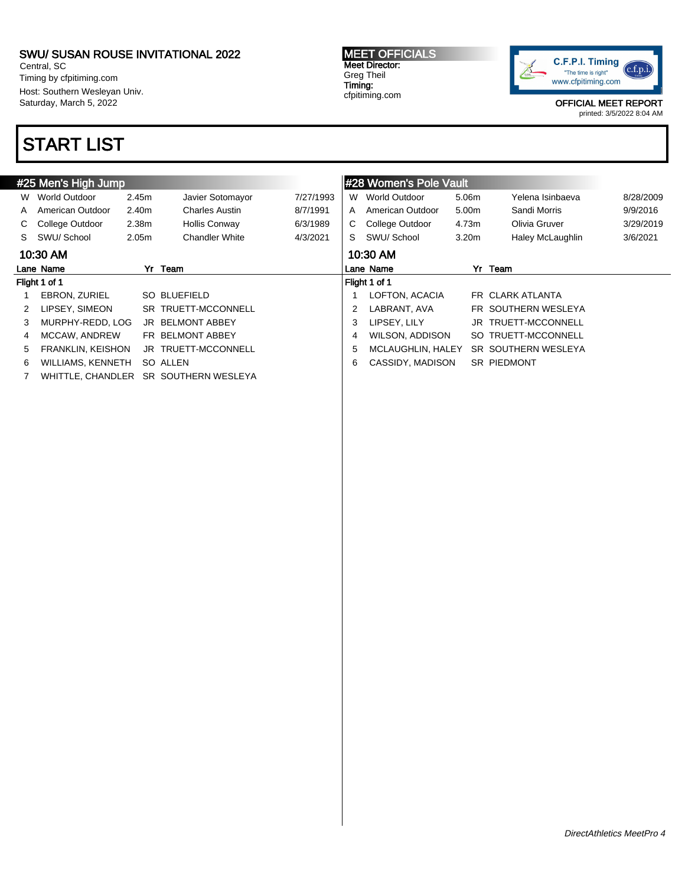Central, SC Timing by cfpitiming.com Host: Southern Wesleyan Univ. Saturday, March 5, 2022

## START LIST

MEET OFFICIALS Meet Director: Greg Theil Timing: cfpitiming.com



OFFICIAL MEET REPORT

|    | #25 Men's High Jump  |                   |                       |           |   | #28 Women's Pole Vault |                   |                     |           |
|----|----------------------|-------------------|-----------------------|-----------|---|------------------------|-------------------|---------------------|-----------|
| W  | World Outdoor        | 2.45m             | Javier Sotomayor      | 7/27/1993 | W | World Outdoor          | 5.06m             | Yelena Isinbaeva    | 8/28/2009 |
| A  | American Outdoor     | 2.40m             | <b>Charles Austin</b> | 8/7/1991  | A | American Outdoor       | 5.00m             | Sandi Morris        | 9/9/2016  |
| C. | College Outdoor      | 2.38m             | Hollis Conway         | 6/3/1989  | C | College Outdoor        | 4.73m             | Olivia Gruver       | 3/29/2019 |
| S. | SWU/ School          | 2.05 <sub>m</sub> | <b>Chandler White</b> | 4/3/2021  | S | SWU/School             | 3.20 <sub>m</sub> | Haley McLaughlin    | 3/6/2021  |
|    | 10:30 AM             |                   |                       |           |   | 10:30 AM               |                   |                     |           |
|    | Lane Name            |                   | Yr Team               |           |   | Lane Name              |                   | Yr Team             |           |
|    | Flight 1 of 1        |                   |                       |           |   | Flight 1 of 1          |                   |                     |           |
|    | <b>EBRON, ZURIEL</b> |                   | SO BLUEFIELD          |           |   | LOFTON, ACACIA         |                   | FR CLARK ATLANTA    |           |
| 2  | LIPSEY, SIMEON       |                   | SR TRUETT-MCCONNELL   |           | 2 | LABRANT, AVA           |                   | FR SOUTHERN WESLEYA |           |
| 3  | MURPHY-REDD, LOG     | JR                | <b>BELMONT ABBEY</b>  |           | 3 | LIPSEY, LILY           |                   | JR TRUETT-MCCONNELL |           |
| 4  | MCCAW, ANDREW        |                   | FR BELMONT ABBEY      |           | 4 | WILSON, ADDISON        |                   | SO TRUETT-MCCONNELL |           |
| 5  | FRANKLIN, KEISHON    |                   | JR TRUETT-MCCONNELL   |           | 5 | MCLAUGHLIN, HALEY      |                   | SR SOUTHERN WESLEYA |           |
| 6  | WILLIAMS, KENNETH    |                   | SO ALLEN              |           | 6 | CASSIDY, MADISON       |                   | <b>SR PIEDMONT</b>  |           |
|    | WHITTLE, CHANDLER    |                   | SR SOUTHERN WESLEYA   |           |   |                        |                   |                     |           |
|    |                      |                   |                       |           |   |                        |                   |                     |           |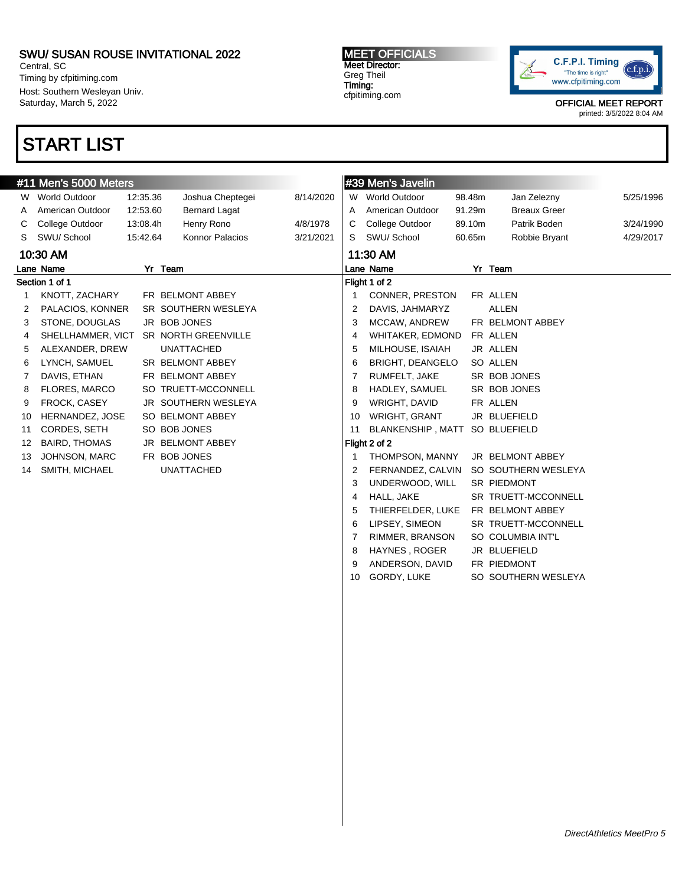Central, SC Timing by cfpitiming.com Host: Southern Wesleyan Univ. Saturday, March 5, 2022

## START LIST

MEET OFFICIALS Meet Director: Greg Theil Timing: cfpitiming.com



OFFICIAL MEET REPORT

printed: 3/5/2022 8:04 AM

|    | #11 Men's 5000 Meters |          |                      |           |    | #39 Men's Javelin        |        |                     |           |
|----|-----------------------|----------|----------------------|-----------|----|--------------------------|--------|---------------------|-----------|
| W  | World Outdoor         | 12:35.36 | Joshua Cheptegei     | 8/14/2020 |    | W World Outdoor          | 98.48m | Jan Zelezny         | 5/25/1996 |
|    | American Outdoor      | 12:53.60 | <b>Bernard Lagat</b> |           | Α  | American Outdoor         | 91.29m | <b>Breaux Greer</b> |           |
| C  | College Outdoor       | 13:08.4h | Henry Rono           | 4/8/1978  | С  | College Outdoor          | 89.10m | Patrik Boden        | 3/24/1990 |
| S. | SWU/ School           | 15:42.64 | Konnor Palacios      | 3/21/2021 | S  | SWU/ School              | 60.65m | Robbie Bryant       | 4/29/2017 |
|    | 10:30 AM              |          |                      |           |    | 11:30 AM                 |        |                     |           |
|    | Lane Name             |          | Yr Team              |           |    | Lane Name                |        | Yr Team             |           |
|    | Section 1 of 1        |          |                      |           |    | Flight 1 of 2            |        |                     |           |
| 1  | KNOTT, ZACHARY        |          | FR BELMONT ABBEY     |           |    | CONNER, PRESTON          |        | FR ALLEN            |           |
| 2  | PALACIOS, KONNER      |          | SR SOUTHERN WESLEYA  |           | 2  | DAVIS, JAHMARYZ          |        | <b>ALLEN</b>        |           |
| 3  | STONE, DOUGLAS        |          | JR BOB JONES         |           | 3  | MCCAW, ANDREW            |        | FR BELMONT ABBEY    |           |
| 4  | SHELLHAMMER, VICT     |          | SR NORTH GREENVILLE  |           | 4  | WHITAKER, EDMOND         |        | FR ALLEN            |           |
| 5  | ALEXANDER, DREW       |          | <b>UNATTACHED</b>    |           | 5  | MILHOUSE, ISAIAH         |        | JR ALLEN            |           |
| 6  | LYNCH, SAMUEL         |          | SR BELMONT ABBEY     |           | 6  | <b>BRIGHT, DEANGELO</b>  |        | SO ALLEN            |           |
| 7  | DAVIS, ETHAN          |          | FR BELMONT ABBEY     |           | 7  | RUMFELT, JAKE            |        | SR BOB JONES        |           |
| 8  | <b>FLORES, MARCO</b>  |          | SO TRUETT-MCCONNELL  |           | 8  | HADLEY, SAMUEL           |        | SR BOB JONES        |           |
| 9  | FROCK, CASEY          |          | JR SOUTHERN WESLEYA  |           | 9  | WRIGHT, DAVID            |        | FR ALLEN            |           |
| 10 | HERNANDEZ, JOSE       |          | SO BELMONT ABBEY     |           | 10 | WRIGHT, GRANT            |        | JR BLUEFIELD        |           |
| 11 | CORDES, SETH          |          | SO BOB JONES         |           | 11 | <b>BLANKENSHIP, MATT</b> |        | SO BLUEFIELD        |           |
| 12 | <b>BAIRD, THOMAS</b>  |          | JR BELMONT ABBEY     |           |    | Flight 2 of 2            |        |                     |           |
| 13 | JOHNSON, MARC         |          | FR BOB JONES         |           |    | THOMPSON, MANNY          |        | JR BELMONT ABBEY    |           |
| 14 | SMITH, MICHAEL        |          | <b>UNATTACHED</b>    |           | 2  | FERNANDEZ, CALVIN        |        | SO SOUTHERN WESLEYA |           |
|    |                       |          |                      |           | 3  | UNDERWOOD, WILL          |        | SR PIEDMONT         |           |
|    |                       |          |                      |           | 4  | HALL, JAKE               |        | SR TRUETT-MCCONNELL |           |
|    |                       |          |                      |           | 5  | THIERFELDER, LUKE        |        | FR BELMONT ABBEY    |           |
|    |                       |          |                      |           | 6  | LIPSEY, SIMEON           |        | SR TRUETT-MCCONNELL |           |
|    |                       |          |                      |           |    | RIMMER, BRANSON          |        | SO COLUMBIA INT'L   |           |
|    |                       |          |                      |           | 8  | HAYNES, ROGER            |        | JR BLUEFIELD        |           |

9 ANDERSON, DAVID FR PIEDMONT

10 GORDY, LUKE SO SOUTHERN WESLEYA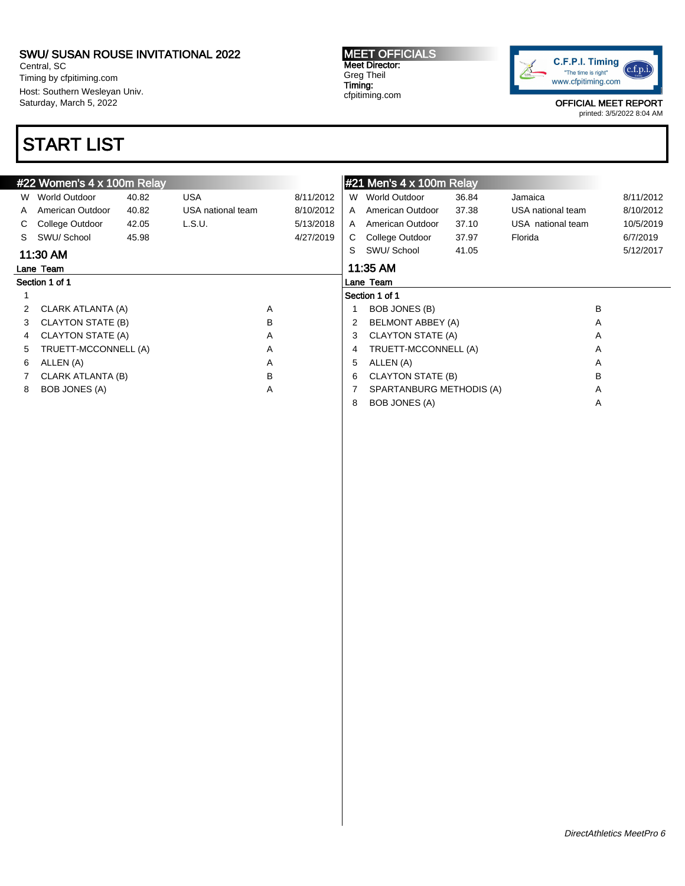Central, SC Timing by cfpitiming.com Host: Southern Wesleyan Univ. Saturday, March 5, 2022

# START LIST

MEET OFFICIALS Meet Director: Greg Theil Timing: cfpitiming.com



OFFICIAL MEET REPORT

|    | #22 Women's 4 x 100m Relay |       |                   |   |           |    | $\parallel$ #21 Men's 4 x 100m Relay |       |                   |   |           |
|----|----------------------------|-------|-------------------|---|-----------|----|--------------------------------------|-------|-------------------|---|-----------|
| W. | World Outdoor              | 40.82 | <b>USA</b>        |   | 8/11/2012 | W. | World Outdoor                        | 36.84 | Jamaica           |   | 8/11/2012 |
| A  | American Outdoor           | 40.82 | USA national team |   | 8/10/2012 | A  | American Outdoor                     | 37.38 | USA national team |   | 8/10/2012 |
|    | College Outdoor            | 42.05 | L.S.U.            |   | 5/13/2018 | A  | American Outdoor                     | 37.10 | USA national team |   | 10/5/2019 |
| S  | SWU/School                 | 45.98 |                   |   | 4/27/2019 | C. | College Outdoor                      | 37.97 | Florida           |   | 6/7/2019  |
|    | 11:30 AM                   |       |                   |   |           | S. | SWU/School                           | 41.05 |                   |   | 5/12/2017 |
|    | Lane Team                  |       |                   |   |           |    | 11:35 AM                             |       |                   |   |           |
|    | Section 1 of 1             |       |                   |   |           |    | Lane Team                            |       |                   |   |           |
|    |                            |       |                   |   |           |    | Section 1 of 1                       |       |                   |   |           |
|    | CLARK ATLANTA (A)          |       |                   | Α |           |    | BOB JONES (B)                        |       |                   | B |           |
| 3  | CLAYTON STATE (B)          |       |                   | B |           |    | <b>BELMONT ABBEY (A)</b>             |       |                   | A |           |
| 4  | CLAYTON STATE (A)          |       |                   | A |           | 3  | CLAYTON STATE (A)                    |       |                   | A |           |
| 5. | TRUETT-MCCONNELL (A)       |       |                   | A |           | 4  | TRUETT-MCCONNELL (A)                 |       |                   | Α |           |
| 6. | ALLEN (A)                  |       |                   | A |           | 5  | ALLEN (A)                            |       |                   | A |           |
|    | CLARK ATLANTA (B)          |       |                   | в |           | 6  | CLAYTON STATE (B)                    |       |                   | B |           |
| 8  | BOB JONES (A)              |       |                   | A |           |    | SPARTANBURG METHODIS (A)             |       |                   | A |           |
|    |                            |       |                   |   |           | 8  | <b>BOB JONES (A)</b>                 |       |                   | Α |           |
|    |                            |       |                   |   |           |    |                                      |       |                   |   |           |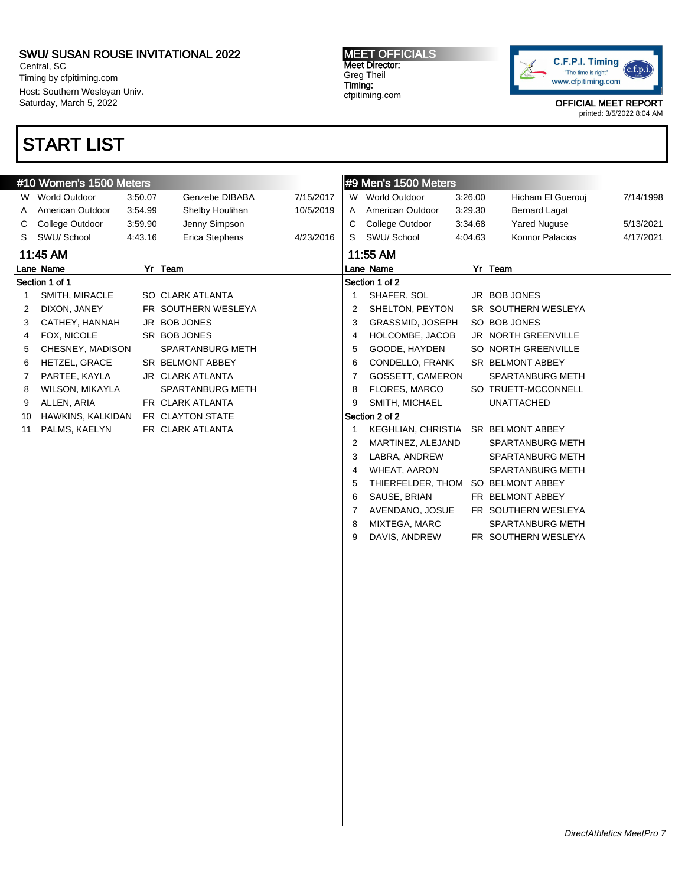Central, SC Timing by cfpitiming.com Host: Southern Wesleyan Univ. Saturday, March 5, 2022

## START LIST

### MEET OFFICIALS Meet Director: Greg Theil Timing: cfpitiming.com



OFFICIAL MEET REPORT

printed: 3/5/2022 8:04 AM

|    | #10 Women's 1500 Meters |         |                         |           |   | #9 Men's 1500 Meters                |         |                            |           |
|----|-------------------------|---------|-------------------------|-----------|---|-------------------------------------|---------|----------------------------|-----------|
| W  | <b>World Outdoor</b>    | 3:50.07 | Genzebe DIBABA          | 7/15/2017 |   | W World Outdoor                     | 3:26.00 | Hicham El Guerouj          | 7/14/1998 |
| A  | American Outdoor        | 3:54.99 | Shelby Houlihan         | 10/5/2019 | A | American Outdoor                    | 3:29.30 | <b>Bernard Lagat</b>       |           |
| С  | College Outdoor         | 3:59.90 | Jenny Simpson           |           | С | College Outdoor                     | 3:34.68 | <b>Yared Nuguse</b>        | 5/13/2021 |
| S  | SWU/School              | 4:43.16 | Erica Stephens          | 4/23/2016 | S | SWU/School                          | 4:04.63 | Konnor Palacios            | 4/17/2021 |
|    | 11:45 AM                |         |                         |           |   | 11:55 AM                            |         |                            |           |
|    | Lane Name               |         | Yr Team                 |           |   | Lane Name                           |         | Yr Team                    |           |
|    | Section 1 of 1          |         |                         |           |   | Section 1 of 2                      |         |                            |           |
|    | SMITH, MIRACLE          |         | SO CLARK ATLANTA        |           |   | SHAFER, SOL                         |         | JR BOB JONES               |           |
| 2  | DIXON, JANEY            |         | FR SOUTHERN WESLEYA     |           | 2 | SHELTON, PEYTON                     |         | SR SOUTHERN WESLEYA        |           |
| 3  | CATHEY, HANNAH          |         | JR BOB JONES            |           | 3 | GRASSMID, JOSEPH                    |         | SO BOB JONES               |           |
| 4  | FOX. NICOLE             |         | SR BOB JONES            |           | 4 | HOLCOMBE, JACOB                     |         | <b>JR NORTH GREENVILLE</b> |           |
| 5  | CHESNEY, MADISON        |         | <b>SPARTANBURG METH</b> |           | 5 | GOODE, HAYDEN                       |         | SO NORTH GREENVILLE        |           |
| 6  | HETZEL, GRACE           |         | SR BELMONT ABBEY        |           | 6 | CONDELLO, FRANK                     |         | SR BELMONT ABBEY           |           |
| 7  | PARTEE, KAYLA           |         | JR CLARK ATLANTA        |           |   | GOSSETT, CAMERON                    |         | SPARTANBURG METH           |           |
| 8  | WILSON, MIKAYLA         |         | <b>SPARTANBURG METH</b> |           | 8 | FLORES, MARCO                       |         | SO TRUETT-MCCONNELL        |           |
| 9  | ALLEN, ARIA             |         | FR CLARK ATLANTA        |           | 9 | SMITH, MICHAEL                      |         | <b>UNATTACHED</b>          |           |
| 10 | HAWKINS, KALKIDAN       |         | FR CLAYTON STATE        |           |   | Section 2 of 2                      |         |                            |           |
| 11 | PALMS, KAELYN           |         | FR CLARK ATLANTA        |           |   | KEGHLIAN, CHRISTIA SR BELMONT ABBEY |         |                            |           |
|    |                         |         |                         |           | 2 | MARTINEZ, ALEJAND                   |         | <b>SPARTANBURG METH</b>    |           |
|    |                         |         |                         |           | 3 | LABRA, ANDREW                       |         | <b>SPARTANBURG METH</b>    |           |
|    |                         |         |                         |           | 4 | <b>WHEAT, AARON</b>                 |         | <b>SPARTANBURG METH</b>    |           |
|    |                         |         |                         |           |   | THIERFELDER, THOM                   |         | SO BELMONT ABBEY           |           |
|    |                         |         |                         |           | 6 | SAUSE, BRIAN                        |         | FR BELMONT ABBEY           |           |
|    |                         |         |                         |           |   | AVENDANO, JOSUE                     |         | FR SOUTHERN WESLEYA        |           |

8 MIXTEGA, MARC SPARTANBURG METH 9 DAVIS, ANDREW FR SOUTHERN WESLEYA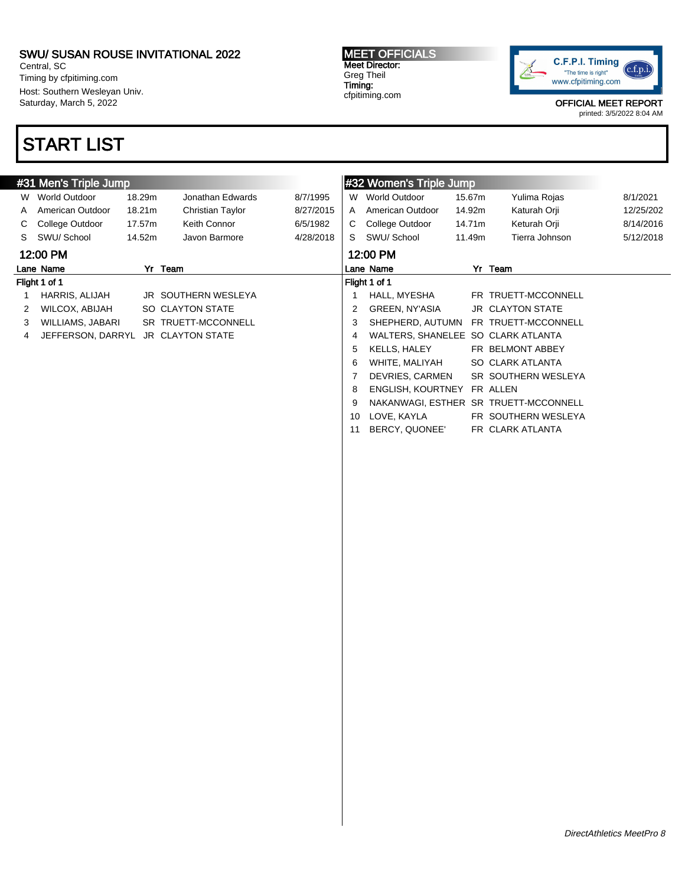Central, SC Timing by cfpitiming.com Host: Southern Wesleyan Univ. Saturday, March 5, 2022

# START LIST

MEET OFFICIALS Meet Director: Greg Theil Timing: cfpitiming.com



OFFICIAL MEET REPORT

|    | #31 Men's Triple Jump |        |                     |           |    | #32 Women's Triple Jump            |        |                                       |           |
|----|-----------------------|--------|---------------------|-----------|----|------------------------------------|--------|---------------------------------------|-----------|
| W  | World Outdoor         | 18.29m | Jonathan Edwards    | 8/7/1995  | W  | <b>World Outdoor</b>               | 15.67m | Yulima Rojas                          | 8/1/2021  |
| A  | American Outdoor      | 18.21m | Christian Taylor    | 8/27/2015 | A  | American Outdoor                   | 14.92m | Katurah Orji                          | 12/25/202 |
|    | College Outdoor       | 17.57m | Keith Connor        | 6/5/1982  | C. | College Outdoor                    | 14.71m | Keturah Orji                          | 8/14/2016 |
| S. | SWU/School            | 14.52m | Javon Barmore       | 4/28/2018 | S. | SWU/ School                        | 11.49m | Tierra Johnson                        | 5/12/2018 |
|    | 12:00 PM              |        |                     |           |    | 12:00 PM                           |        |                                       |           |
|    | Lane Name             |        | Yr Team             |           |    | Lane Name                          |        | Yr Team                               |           |
|    | Flight 1 of 1         |        |                     |           |    | Flight 1 of 1                      |        |                                       |           |
|    | HARRIS, ALIJAH        |        | JR SOUTHERN WESLEYA |           |    | HALL, MYESHA                       |        | FR TRUETT-MCCONNELL                   |           |
|    | WILCOX, ABIJAH        |        | SO CLAYTON STATE    |           | 2  | GREEN, NY'ASIA                     |        | <b>JR CLAYTON STATE</b>               |           |
| 3  | WILLIAMS, JABARI      |        | SR TRUETT-MCCONNELL |           | 3  | SHEPHERD, AUTUMN                   |        | FR TRUETT-MCCONNELL                   |           |
| 4  | JEFFERSON, DARRYL     |        | JR CLAYTON STATE    |           | 4  | WALTERS, SHANELEE SO CLARK ATLANTA |        |                                       |           |
|    |                       |        |                     |           | 5  | KELLS, HALEY                       |        | FR BELMONT ABBEY                      |           |
|    |                       |        |                     |           | 6  | WHITE. MALIYAH                     |        | SO CLARK ATLANTA                      |           |
|    |                       |        |                     |           |    | DEVRIES, CARMEN                    |        | SR SOUTHERN WESLEYA                   |           |
|    |                       |        |                     |           | 8  | <b>ENGLISH, KOURTNEY</b>           |        | FR ALLEN                              |           |
|    |                       |        |                     |           | 9  |                                    |        | NAKANWAGI, ESTHER SR TRUETT-MCCONNELL |           |
|    |                       |        |                     |           | 10 | LOVE, KAYLA                        |        | FR SOUTHERN WESLEYA                   |           |
|    |                       |        |                     |           | 11 | BERCY, QUONEE'                     |        | FR CLARK ATLANTA                      |           |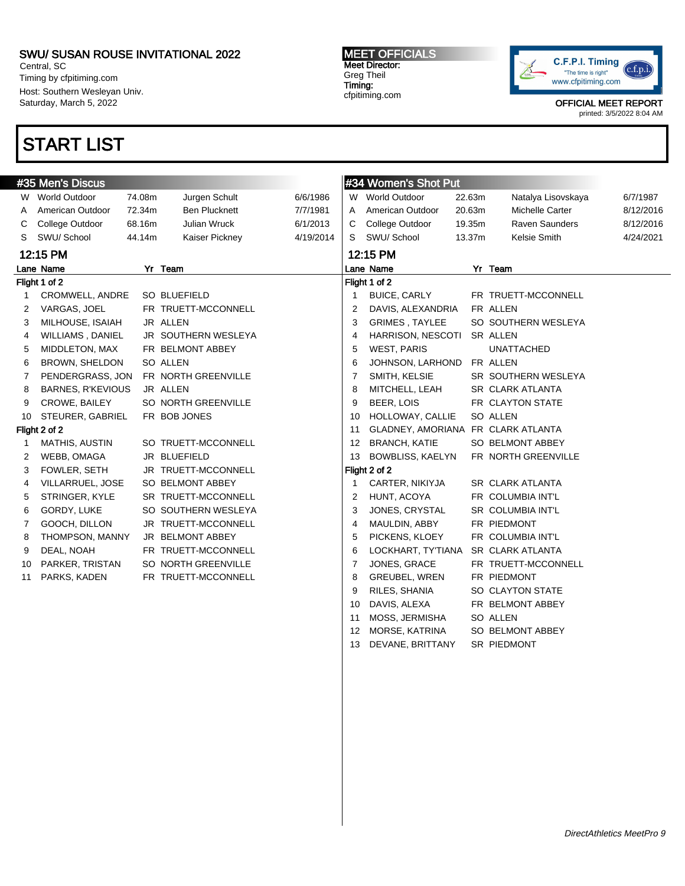Central, SC Timing by cfpitiming.com Host: Southern Wesleyan Univ. Saturday, March 5, 2022

## START LIST

MEET OFFICIALS Meet Director: Greg Theil Timing: cfpitiming.com



OFFICIAL MEET REPORT

printed: 3/5/2022 8:04 AM

|    | #35 Men's Discus         |        |                      |           |                | #34 Women's Shot Put               |        |                          |           |
|----|--------------------------|--------|----------------------|-----------|----------------|------------------------------------|--------|--------------------------|-----------|
|    | W World Outdoor          | 74.08m | Jurgen Schult        | 6/6/1986  |                | W World Outdoor                    | 22.63m | Natalya Lisovskaya       | 6/7/1987  |
| A  | American Outdoor         | 72.34m | <b>Ben Plucknett</b> | 7/7/1981  | A              | American Outdoor                   | 20.63m | Michelle Carter          | 8/12/2016 |
| С  | College Outdoor          | 68.16m | Julian Wruck         | 6/1/2013  | C              | College Outdoor                    | 19.35m | Raven Saunders           | 8/12/2016 |
| S  | SWU/ School              | 44.14m | Kaiser Pickney       | 4/19/2014 | S              | SWU/ School                        | 13.37m | Kelsie Smith             | 4/24/2021 |
|    | 12:15 PM                 |        |                      |           |                | 12:15 PM                           |        |                          |           |
|    | Lane Name                |        | Yr Team              |           |                | Lane Name                          |        | Yr Team                  |           |
|    | Flight 1 of 2            |        |                      |           |                | Flight 1 of 2                      |        |                          |           |
| 1  | CROMWELL, ANDRE          |        | SO BLUEFIELD         |           | 1              | <b>BUICE, CARLY</b>                |        | FR TRUETT-MCCONNELL      |           |
| 2  | VARGAS, JOEL             |        | FR TRUETT-MCCONNELL  |           | $\overline{2}$ | DAVIS, ALEXANDRIA                  |        | FR ALLEN                 |           |
| 3  | MILHOUSE, ISAIAH         |        | JR ALLEN             |           | 3              | <b>GRIMES, TAYLEE</b>              |        | SO SOUTHERN WESLEYA      |           |
| 4  | WILLIAMS, DANIEL         |        | JR SOUTHERN WESLEYA  |           | $\overline{4}$ | <b>HARRISON, NESCOTI</b>           |        | SR ALLEN                 |           |
| 5  | MIDDLETON, MAX           |        | FR BELMONT ABBEY     |           | 5              | <b>WEST, PARIS</b>                 |        | <b>UNATTACHED</b>        |           |
| 6  | <b>BROWN, SHELDON</b>    |        | SO ALLEN             |           | 6              | JOHNSON, LARHOND                   |        | FR ALLEN                 |           |
| 7  | PENDERGRASS, JON         |        | FR NORTH GREENVILLE  |           | 7              | SMITH, KELSIE                      |        | SR SOUTHERN WESLEYA      |           |
| 8  | <b>BARNES, R'KEVIOUS</b> |        | JR ALLEN             |           | 8              | MITCHELL, LEAH                     |        | SR CLARK ATLANTA         |           |
| 9  | CROWE, BAILEY            |        | SO NORTH GREENVILLE  |           | 9              | BEER, LOIS                         |        | FR CLAYTON STATE         |           |
| 10 | STEURER, GABRIEL         |        | FR BOB JONES         |           | 10             | HOLLOWAY, CALLIE                   |        | SO ALLEN                 |           |
|    | Flight 2 of 2            |        |                      |           | 11             | GLADNEY, AMORIANA FR CLARK ATLANTA |        |                          |           |
| 1  | MATHIS, AUSTIN           |        | SO TRUETT-MCCONNELL  |           | 12             | <b>BRANCH, KATIE</b>               |        | SO BELMONT ABBEY         |           |
| 2  | WEBB, OMAGA              |        | JR BLUEFIELD         |           | 13             | <b>BOWBLISS, KAELYN</b>            |        | FR NORTH GREENVILLE      |           |
| 3  | FOWLER, SETH             |        | JR TRUETT-MCCONNELL  |           |                | Flight 2 of 2                      |        |                          |           |
| 4  | VILLARRUEL, JOSE         |        | SO BELMONT ABBEY     |           | 1              | CARTER, NIKIYJA                    |        | SR CLARK ATLANTA         |           |
| 5  | STRINGER, KYLE           |        | SR TRUETT-MCCONNELL  |           | $\overline{2}$ | HUNT, ACOYA                        |        | FR COLUMBIA INT'L        |           |
| 6  | GORDY, LUKE              |        | SO SOUTHERN WESLEYA  |           | 3              | JONES, CRYSTAL                     |        | <b>SR COLUMBIA INT'L</b> |           |
| 7  | GOOCH, DILLON            |        | JR TRUETT-MCCONNELL  |           | $\overline{4}$ | MAULDIN, ABBY                      |        | FR PIEDMONT              |           |
| 8  | THOMPSON, MANNY          |        | JR BELMONT ABBEY     |           | 5              | PICKENS, KLOEY                     |        | FR COLUMBIA INT'L        |           |
| 9  | DEAL, NOAH               |        | FR TRUETT-MCCONNELL  |           | 6              | LOCKHART, TY'TIANA                 |        | <b>SR CLARK ATLANTA</b>  |           |
| 10 | PARKER, TRISTAN          |        | SO NORTH GREENVILLE  |           | 7              | JONES, GRACE                       |        | FR TRUETT-MCCONNELL      |           |
| 11 | PARKS, KADEN             |        | FR TRUETT-MCCONNELL  |           | 8              | <b>GREUBEL, WREN</b>               |        | FR PIEDMONT              |           |
|    |                          |        |                      |           | 9              | RILES, SHANIA                      |        | SO CLAYTON STATE         |           |
|    |                          |        |                      |           | 10             | DAVIS, ALEXA                       |        | FR BELMONT ABBEY         |           |
|    |                          |        |                      |           | 11             | MOSS, JERMISHA                     |        | SO ALLEN                 |           |

12 MORSE, KATRINA SO BELMONT ABBEY 13 DEVANE, BRITTANY SR PIEDMONT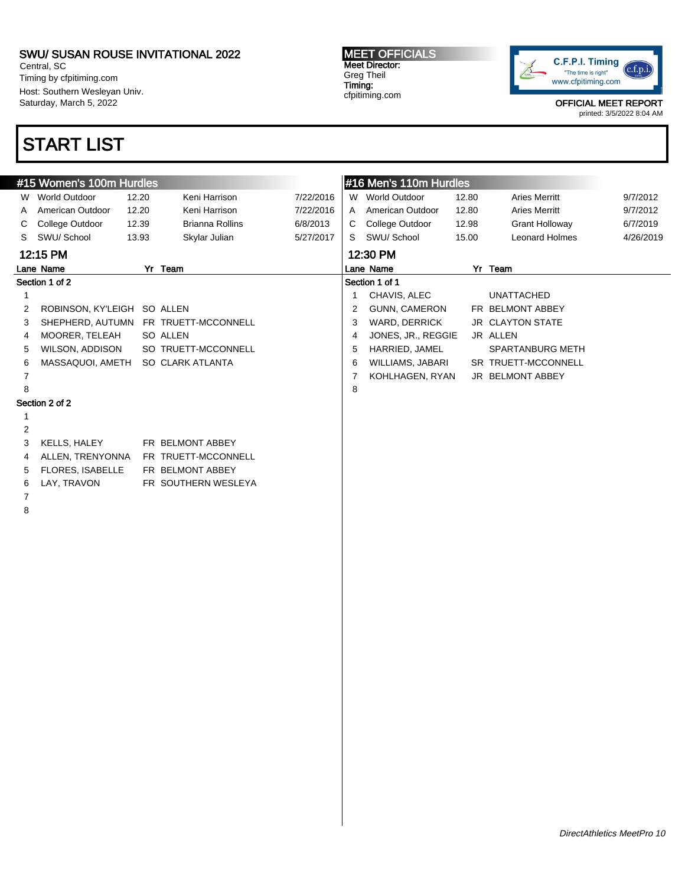Central, SC Timing by cfpitiming.com Host: Southern Wesleyan Univ. Saturday, March 5, 2022

# START LIST

#### #15 Women's 100m Hurdles W World Outdoor 12.20 Keni Harrison 7/22/2016 A American Outdoor 12.20 Keni Harrison 7/22/2016 C College Outdoor 12.39 Brianna Rollins 6/8/2013 S SWU/ School 13.93 Skylar Julian 5/27/2017 12:15 PM Lane Name Yr Team Section 1 of 2 1 2 ROBINSON, KY'LEIGH SO ALLEN 3 SHEPHERD, AUTUMN FR TRUETT-MCCONNELL 4 MOORER, TELEAH SO ALLEN 5 WILSON, ADDISON SO TRUETT-MCCONNELL 6 MASSAQUOI, AMETH SO CLARK ATLANTA 7 8 Section 2 of 2 1 2 3 KELLS, HALEY FR BELMONT ABBEY 4 ALLEN, TRENYONNA FR TRUETT-MCCONNELL 5 FLORES, ISABELLE FR BELMONT ABBEY 6 LAY, TRAVON FR SOUTHERN WESLEYA 7 8 #16 Men's 110m Hurdles W World Outdoor 12.80 Aries Merritt 9/7/2012 A American Outdoor 12.80 Aries Merritt 9/7/2012 C College Outdoor 12.98 Grant Holloway 6/7/2019 S SWU/ School 15.00 Leonard Holmes 4/26/2019 12:30 PM Lane Name Yr Team Section 1 of 1 1 CHAVIS, ALEC UNATTACHED 2 GUNN, CAMERON FR BELMONT ABBEY 3 WARD, DERRICK JR CLAYTON STATE 4 JONES, JR., REGGIE JR ALLEN 5 HARRIED, JAMEL SPARTANBURG METH 6 WILLIAMS, JABARI SR TRUETT-MCCONNELL 7 KOHLHAGEN, RYAN JR BELMONT ABBEY 8

MEET OFFICIALS Meet Director: Greg Theil Timing: cfpitiming.com

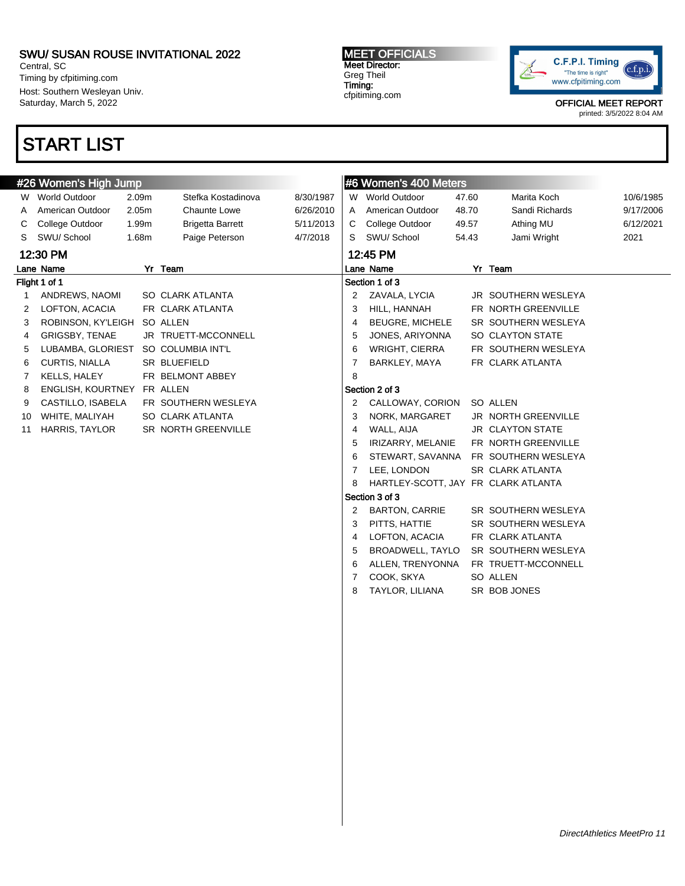Central, SC Timing by cfpitiming.com Host: Southern Wesleyan Univ. Saturday, March 5, 2022

# START LIST

### MEET OFFICIALS Meet Director: Greg Theil Timing: cfpitiming.com



OFFICIAL MEET REPORT

|    | #26 Women's High Jump |       |                         |           |                | #6 Women's 400 Meters               |       |                         |           |
|----|-----------------------|-------|-------------------------|-----------|----------------|-------------------------------------|-------|-------------------------|-----------|
|    | W World Outdoor       | 2.09m | Stefka Kostadinova      | 8/30/1987 |                | W World Outdoor                     | 47.60 | Marita Koch             | 10/6/1985 |
| A  | American Outdoor      | 2.05m | Chaunte Lowe            | 6/26/2010 | A              | American Outdoor                    | 48.70 | Sandi Richards          | 9/17/2006 |
| С  | College Outdoor       | 1.99m | <b>Brigetta Barrett</b> | 5/11/2013 | C              | College Outdoor                     | 49.57 | Athing MU               | 6/12/2021 |
| S  | SWU/ School           | 1.68m | Paige Peterson          | 4/7/2018  | S              | SWU/ School                         | 54.43 | Jami Wright             | 2021      |
|    | 12:30 PM              |       |                         |           |                | 12:45 PM                            |       |                         |           |
|    | Lane Name             |       | Yr Team                 |           |                | Lane Name                           |       | Yr Team                 |           |
|    | Flight 1 of 1         |       |                         |           |                | Section 1 of 3                      |       |                         |           |
| 1  | ANDREWS, NAOMI        |       | <b>SO CLARK ATLANTA</b> |           | 2              | ZAVALA, LYCIA                       |       | JR SOUTHERN WESLEYA     |           |
| 2  | LOFTON, ACACIA        |       | FR CLARK ATLANTA        |           | 3              | HILL, HANNAH                        |       | FR NORTH GREENVILLE     |           |
| 3  | ROBINSON, KY'LEIGH    |       | SO ALLEN                |           | $\overline{4}$ | <b>BEUGRE, MICHELE</b>              |       | SR SOUTHERN WESLEYA     |           |
| 4  | <b>GRIGSBY, TENAE</b> |       | JR TRUETT-MCCONNELL     |           | 5              | JONES, ARIYONNA                     |       | SO CLAYTON STATE        |           |
| 5  | LUBAMBA, GLORIEST     |       | SO COLUMBIA INT'L       |           | 6              | WRIGHT, CIERRA                      |       | FR SOUTHERN WESLEYA     |           |
| 6  | CURTIS, NIALLA        |       | SR BLUEFIELD            |           | $\overline{7}$ | BARKLEY, MAYA                       |       | FR CLARK ATLANTA        |           |
| 7  | <b>KELLS, HALEY</b>   |       | FR BELMONT ABBEY        |           | 8              |                                     |       |                         |           |
| 8  | ENGLISH, KOURTNEY     |       | FR ALLEN                |           |                | Section 2 of 3                      |       |                         |           |
| 9  | CASTILLO, ISABELA     |       | FR SOUTHERN WESLEYA     |           | $\overline{2}$ | CALLOWAY, CORION                    |       | SO ALLEN                |           |
| 10 | WHITE, MALIYAH        |       | SO CLARK ATLANTA        |           | 3              | NORK, MARGARET                      |       | JR NORTH GREENVILLE     |           |
| 11 | HARRIS, TAYLOR        |       | SR NORTH GREENVILLE     |           | 4              | WALL, AIJA                          |       | <b>JR CLAYTON STATE</b> |           |
|    |                       |       |                         |           | 5              | IRIZARRY, MELANIE                   |       | FR NORTH GREENVILLE     |           |
|    |                       |       |                         |           | 6              | STEWART, SAVANNA                    |       | FR SOUTHERN WESLEYA     |           |
|    |                       |       |                         |           | $\overline{7}$ | LEE, LONDON                         |       | <b>SR CLARK ATLANTA</b> |           |
|    |                       |       |                         |           | 8              | HARTLEY-SCOTT, JAY FR CLARK ATLANTA |       |                         |           |
|    |                       |       |                         |           |                | Section 3 of 3                      |       |                         |           |
|    |                       |       |                         |           | 2              | <b>BARTON, CARRIE</b>               |       | SR SOUTHERN WESLEYA     |           |
|    |                       |       |                         |           | 3              | PITTS, HATTIE                       |       | SR SOUTHERN WESLEYA     |           |
|    |                       |       |                         |           | 4              | LOFTON, ACACIA                      |       | FR CLARK ATLANTA        |           |
|    |                       |       |                         |           | 5              | BROADWELL, TAYLO                    |       | SR SOUTHERN WESLEYA     |           |
|    |                       |       |                         |           | 6              | ALLEN, TRENYONNA                    |       | FR TRUETT-MCCONNELL     |           |
|    |                       |       |                         |           | 7              | COOK, SKYA                          |       | SO ALLEN                |           |
|    |                       |       |                         |           | 8              | TAYLOR, LILIANA                     |       | SR BOB JONES            |           |
|    |                       |       |                         |           |                |                                     |       |                         |           |
|    |                       |       |                         |           |                |                                     |       |                         |           |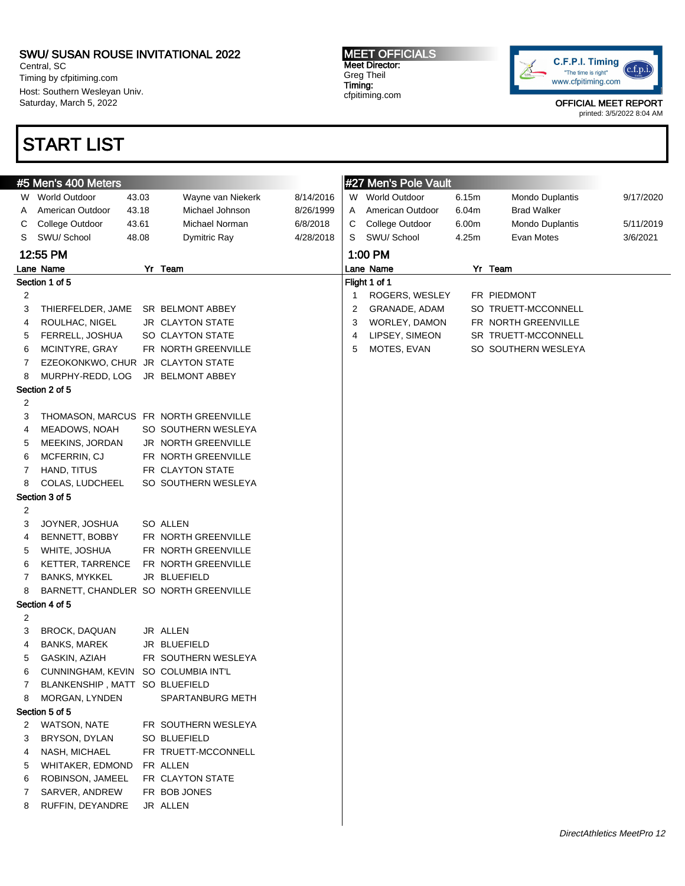Central, SC Timing by cfpitiming.com Host: Southern Wesleyan Univ. Saturday, March 5, 2022

## START LIST

MEET OFFICIALS Meet Director: Greg Theil Timing: cfpitiming.com



OFFICIAL MEET REPORT

|   | #5 Men's 400 Meters               |       |                                       |           |   | #27 Men's Pole Vault |       |                     |           |
|---|-----------------------------------|-------|---------------------------------------|-----------|---|----------------------|-------|---------------------|-----------|
|   | W World Outdoor                   | 43.03 | Wayne van Niekerk                     | 8/14/2016 |   | W World Outdoor      | 6.15m | Mondo Duplantis     | 9/17/2020 |
| A | American Outdoor                  | 43.18 | Michael Johnson                       | 8/26/1999 | A | American Outdoor     | 6.04m | <b>Brad Walker</b>  |           |
| С | College Outdoor                   | 43.61 | Michael Norman                        | 6/8/2018  | С | College Outdoor      | 6.00m | Mondo Duplantis     | 5/11/2019 |
| S | SWU/School                        | 48.08 | Dymitric Ray                          | 4/28/2018 | S | SWU/ School          | 4.25m | Evan Motes          | 3/6/2021  |
|   | 12:55 PM                          |       |                                       |           |   | 1:00 PM              |       |                     |           |
|   | Lane Name                         |       | Yr Team                               |           |   | Lane Name            |       | Yr Team             |           |
|   | Section 1 of 5                    |       |                                       |           |   | Flight 1 of 1        |       |                     |           |
| 2 |                                   |       |                                       |           | 1 | ROGERS, WESLEY       |       | FR PIEDMONT         |           |
| 3 | THIERFELDER, JAME                 |       | SR BELMONT ABBEY                      |           | 2 | GRANADE, ADAM        |       | SO TRUETT-MCCONNELL |           |
| 4 | ROULHAC, NIGEL                    |       | JR CLAYTON STATE                      |           | 3 | WORLEY, DAMON        |       | FR NORTH GREENVILLE |           |
| 5 | FERRELL, JOSHUA                   |       | SO CLAYTON STATE                      |           | 4 | LIPSEY, SIMEON       |       | SR TRUETT-MCCONNELL |           |
| 6 | MCINTYRE, GRAY                    |       | FR NORTH GREENVILLE                   |           | 5 | MOTES, EVAN          |       | SO SOUTHERN WESLEYA |           |
| 7 | EZEOKONKWO, CHUR JR CLAYTON STATE |       |                                       |           |   |                      |       |                     |           |
| 8 | MURPHY-REDD, LOG                  |       | JR BELMONT ABBEY                      |           |   |                      |       |                     |           |
|   | Section 2 of 5                    |       |                                       |           |   |                      |       |                     |           |
| 2 |                                   |       |                                       |           |   |                      |       |                     |           |
| 3 |                                   |       | THOMASON, MARCUS FR NORTH GREENVILLE  |           |   |                      |       |                     |           |
| 4 | MEADOWS, NOAH                     |       | SO SOUTHERN WESLEYA                   |           |   |                      |       |                     |           |
| 5 | MEEKINS, JORDAN                   |       | JR NORTH GREENVILLE                   |           |   |                      |       |                     |           |
| 6 | MCFERRIN, CJ                      |       | FR NORTH GREENVILLE                   |           |   |                      |       |                     |           |
| 7 | HAND, TITUS                       |       | FR CLAYTON STATE                      |           |   |                      |       |                     |           |
| 8 | COLAS, LUDCHEEL                   |       | SO SOUTHERN WESLEYA                   |           |   |                      |       |                     |           |
|   | Section 3 of 5                    |       |                                       |           |   |                      |       |                     |           |
| 2 |                                   |       |                                       |           |   |                      |       |                     |           |
| 3 | JOYNER, JOSHUA                    |       | SO ALLEN                              |           |   |                      |       |                     |           |
| 4 | BENNETT, BOBBY                    |       | FR NORTH GREENVILLE                   |           |   |                      |       |                     |           |
| 5 | WHITE, JOSHUA                     |       | FR NORTH GREENVILLE                   |           |   |                      |       |                     |           |
| 6 | <b>KETTER, TARRENCE</b>           |       | FR NORTH GREENVILLE                   |           |   |                      |       |                     |           |
| 7 | <b>BANKS, MYKKEL</b>              |       | JR BLUEFIELD                          |           |   |                      |       |                     |           |
| 8 |                                   |       | BARNETT, CHANDLER SO NORTH GREENVILLE |           |   |                      |       |                     |           |
|   | Section 4 of 5                    |       |                                       |           |   |                      |       |                     |           |
| 2 |                                   |       |                                       |           |   |                      |       |                     |           |
| 3 | BROCK, DAQUAN                     |       | JR ALLEN                              |           |   |                      |       |                     |           |
| 4 | <b>BANKS, MAREK</b>               |       | JR BLUEFIELD                          |           |   |                      |       |                     |           |
| 5 | GASKIN, AZIAH                     |       | FR SOUTHERN WESLEYA                   |           |   |                      |       |                     |           |
| 6 | CUNNINGHAM, KEVIN                 |       | SO COLUMBIA INT'L                     |           |   |                      |       |                     |           |
| 7 | BLANKENSHIP, MATT SO BLUEFIELD    |       |                                       |           |   |                      |       |                     |           |
| 8 | MORGAN, LYNDEN                    |       | SPARTANBURG METH                      |           |   |                      |       |                     |           |
|   | Section 5 of 5                    |       |                                       |           |   |                      |       |                     |           |
| 2 | <b>WATSON, NATE</b>               |       | FR SOUTHERN WESLEYA                   |           |   |                      |       |                     |           |
| 3 | BRYSON, DYLAN                     |       | SO BLUEFIELD                          |           |   |                      |       |                     |           |
| 4 | NASH, MICHAEL                     |       | FR TRUETT-MCCONNELL                   |           |   |                      |       |                     |           |
| 5 | WHITAKER, EDMOND                  |       | FR ALLEN                              |           |   |                      |       |                     |           |
| 6 | ROBINSON, JAMEEL                  |       | FR CLAYTON STATE                      |           |   |                      |       |                     |           |
| 7 | SARVER, ANDREW                    |       | FR BOB JONES                          |           |   |                      |       |                     |           |
| 8 | RUFFIN, DEYANDRE                  |       | JR ALLEN                              |           |   |                      |       |                     |           |
|   |                                   |       |                                       |           |   |                      |       |                     |           |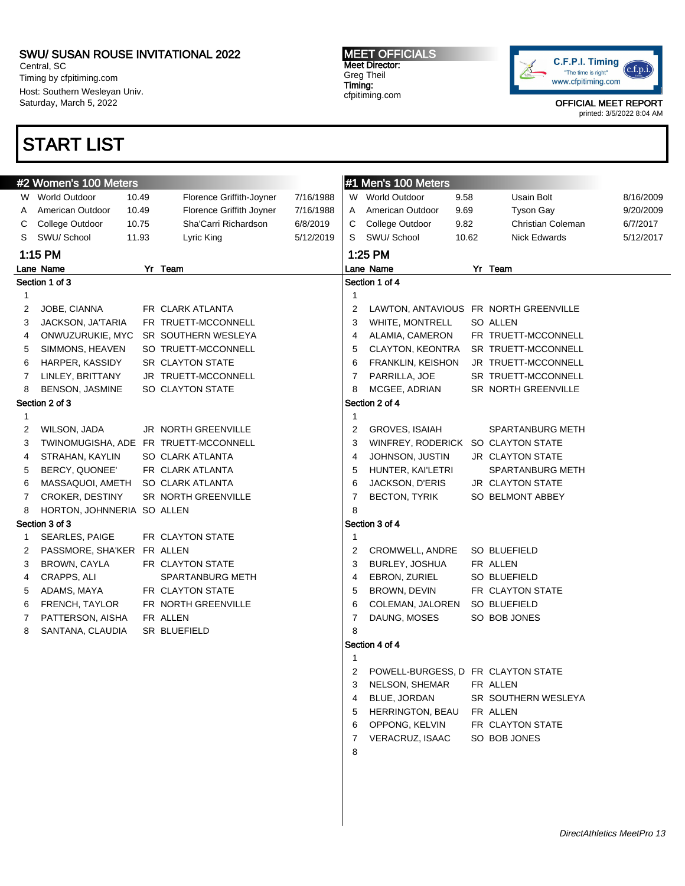Central, SC Timing by cfpitiming.com Host: Southern Wesleyan Univ. Saturday, March 5, 2022

## START LIST

MEET OFFICIALS Meet Director: Greg Theil Timing: cfpitiming.com



OFFICIAL MEET REPORT

|                | #2 Women's 100 Meters      |       |                                       |           |                | #1 Men's 100 Meters                |       |                                       |           |  |
|----------------|----------------------------|-------|---------------------------------------|-----------|----------------|------------------------------------|-------|---------------------------------------|-----------|--|
|                | W World Outdoor            | 10.49 | Florence Griffith-Joyner              | 7/16/1988 |                | W World Outdoor                    | 9.58  | Usain Bolt                            | 8/16/2009 |  |
| A              | American Outdoor           | 10.49 | Florence Griffith Joyner              | 7/16/1988 | Α              | American Outdoor                   | 9.69  | <b>Tyson Gay</b>                      | 9/20/2009 |  |
| С              | College Outdoor            | 10.75 | Sha'Carri Richardson                  | 6/8/2019  | С              | College Outdoor                    | 9.82  | Christian Coleman                     | 6/7/2017  |  |
| S              | SWU/ School                | 11.93 | Lyric King                            | 5/12/2019 | S              | SWU/ School                        | 10.62 | <b>Nick Edwards</b>                   | 5/12/2017 |  |
|                | 1:15 PM                    |       |                                       |           |                | 1:25 PM                            |       |                                       |           |  |
|                | Lane Name                  |       | Yr Team                               |           |                | Lane Name                          |       | Yr Team                               |           |  |
|                | Section 1 of 3             |       |                                       |           |                | Section 1 of 4                     |       |                                       |           |  |
| 1              |                            |       |                                       |           | $\mathbf{1}$   |                                    |       |                                       |           |  |
| 2              | JOBE, CIANNA               |       | FR CLARK ATLANTA                      |           | 2              |                                    |       | LAWTON, ANTAVIOUS FR NORTH GREENVILLE |           |  |
| 3              | JACKSON, JA'TARIA          |       | FR TRUETT-MCCONNELL                   |           | 3              | WHITE, MONTRELL                    |       | SO ALLEN                              |           |  |
| 4              | ONWUZURUKIE, MYC           |       | SR SOUTHERN WESLEYA                   |           | 4              | ALAMIA, CAMERON                    |       | FR TRUETT-MCCONNELL                   |           |  |
| 5              | SIMMONS, HEAVEN            |       | SO TRUETT-MCCONNELL                   |           | 5              | CLAYTON, KEONTRA                   |       | SR TRUETT-MCCONNELL                   |           |  |
| 6              | HARPER, KASSIDY            |       | SR CLAYTON STATE                      |           | 6              | <b>FRANKLIN, KEISHON</b>           |       | JR TRUETT-MCCONNELL                   |           |  |
| $\overline{7}$ | LINLEY, BRITTANY           |       | JR TRUETT-MCCONNELL                   |           | $\overline{7}$ | PARRILLA, JOE                      |       | SR TRUETT-MCCONNELL                   |           |  |
| 8              | <b>BENSON, JASMINE</b>     |       | SO CLAYTON STATE                      |           | 8              | MCGEE, ADRIAN                      |       | SR NORTH GREENVILLE                   |           |  |
|                | Section 2 of 3             |       |                                       |           |                | Section 2 of 4                     |       |                                       |           |  |
| $\mathbf{1}$   |                            |       |                                       |           | $\mathbf{1}$   |                                    |       |                                       |           |  |
| 2              | WILSON, JADA               |       | JR NORTH GREENVILLE                   |           | 2              | <b>GROVES, ISAIAH</b>              |       | SPARTANBURG METH                      |           |  |
| 3              |                            |       | TWINOMUGISHA, ADE FR TRUETT-MCCONNELL |           | 3              | WINFREY, RODERICK SO CLAYTON STATE |       |                                       |           |  |
| 4              | STRAHAN, KAYLIN            |       | SO CLARK ATLANTA                      |           | $\overline{4}$ | JOHNSON, JUSTIN                    |       | <b>JR CLAYTON STATE</b>               |           |  |
| 5              | BERCY, QUONEE'             |       | FR CLARK ATLANTA                      |           | 5              | HUNTER, KAI'LETRI                  |       | <b>SPARTANBURG METH</b>               |           |  |
| 6              | MASSAQUOI, AMETH           |       | SO CLARK ATLANTA                      |           | 6              | JACKSON, D'ERIS                    |       | JR CLAYTON STATE                      |           |  |
| $\overline{7}$ | CROKER, DESTINY            |       | SR NORTH GREENVILLE                   |           | $\overline{7}$ | <b>BECTON, TYRIK</b>               |       | SO BELMONT ABBEY                      |           |  |
| 8              | HORTON, JOHNNERIA SO ALLEN |       |                                       |           | 8              |                                    |       |                                       |           |  |
|                | Section 3 of 3             |       |                                       |           |                | Section 3 of 4                     |       |                                       |           |  |
| 1              | SEARLES, PAIGE             |       | FR CLAYTON STATE                      |           | $\overline{1}$ |                                    |       |                                       |           |  |
| 2              | PASSMORE, SHA'KER FR ALLEN |       |                                       |           | 2              | CROMWELL, ANDRE                    |       | SO BLUEFIELD                          |           |  |
| 3              | BROWN, CAYLA               |       | FR CLAYTON STATE                      |           | 3              | <b>BURLEY, JOSHUA</b>              |       | FR ALLEN                              |           |  |
| 4              | CRAPPS, ALI                |       | <b>SPARTANBURG METH</b>               |           | 4              | EBRON, ZURIEL                      |       | <b>SO BLUEFIELD</b>                   |           |  |
| 5              | ADAMS, MAYA                |       | FR CLAYTON STATE                      |           | 5              | BROWN, DEVIN                       |       | FR CLAYTON STATE                      |           |  |
| 6              | FRENCH, TAYLOR             |       | FR NORTH GREENVILLE                   |           | 6              | COLEMAN, JALOREN                   |       | SO BLUEFIELD                          |           |  |
| $\overline{7}$ | PATTERSON, AISHA           |       | FR ALLEN                              |           | $\overline{7}$ | DAUNG, MOSES                       |       | SO BOB JONES                          |           |  |
| 8              | SANTANA, CLAUDIA           |       | SR BLUEFIELD                          |           | 8              |                                    |       |                                       |           |  |
|                |                            |       |                                       |           |                | Section 4 of 4                     |       |                                       |           |  |
|                |                            |       |                                       |           | 1              |                                    |       |                                       |           |  |
|                |                            |       |                                       |           | 2              | POWELL-BURGESS, D FR CLAYTON STATE |       |                                       |           |  |
|                |                            |       |                                       |           | 3              | NELSON, SHEMAR                     |       | FR ALLEN                              |           |  |
|                |                            |       |                                       |           | 4              | BLUE, JORDAN                       |       | SR SOUTHERN WESLEYA                   |           |  |
|                |                            |       |                                       |           | 5              | HERRINGTON, BEAU                   |       | FR ALLEN                              |           |  |
|                |                            |       |                                       |           | 6              | OPPONG, KELVIN                     |       | FR CLAYTON STATE                      |           |  |
|                |                            |       |                                       |           | $\overline{7}$ | VERACRUZ, ISAAC                    |       | SO BOB JONES                          |           |  |
|                |                            |       |                                       |           | 8              |                                    |       |                                       |           |  |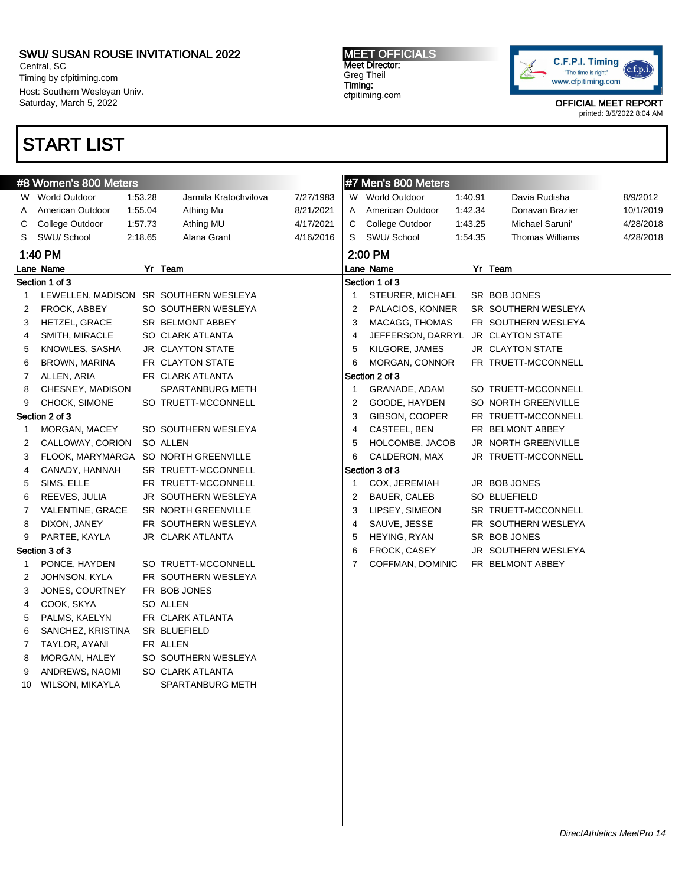Central, SC Timing by cfpitiming.com Host: Southern Wesleyan Univ. Saturday, March 5, 2022

## START LIST

### MEET OFFICIALS Meet Director: Greg Theil Timing: cfpitiming.com



OFFICIAL MEET REPORT

|                      | #8 Women's 800 Meters  |         |                                       |           | #7 Men's 800 Meters |                                    |         |                        |           |
|----------------------|------------------------|---------|---------------------------------------|-----------|---------------------|------------------------------------|---------|------------------------|-----------|
|                      | W World Outdoor        | 1:53.28 | Jarmila Kratochvilova                 | 7/27/1983 |                     | W World Outdoor                    | 1:40.91 | Davia Rudisha          | 8/9/2012  |
| A                    | American Outdoor       | 1:55.04 | Athing Mu                             | 8/21/2021 | A                   | American Outdoor                   | 1:42.34 | Donavan Brazier        | 10/1/2019 |
| С                    | College Outdoor        | 1:57.73 | Athing MU                             | 4/17/2021 | С                   | College Outdoor                    | 1:43.25 | Michael Saruni'        | 4/28/2018 |
| S                    | SWU/School             | 2:18.65 | Alana Grant                           | 4/16/2016 | S                   | SWU/ School                        | 1:54.35 | <b>Thomas Williams</b> | 4/28/2018 |
| 1:40 PM              |                        |         |                                       |           | 2:00 PM             |                                    |         |                        |           |
| Lane Name<br>Yr Team |                        |         |                                       |           | Lane Name           |                                    |         |                        |           |
| Section 1 of 3       |                        |         |                                       |           | Section 1 of 3      |                                    |         |                        |           |
| 1                    |                        |         | LEWELLEN, MADISON SR SOUTHERN WESLEYA |           | $\mathbf{1}$        | STEURER, MICHAEL                   |         | SR BOB JONES           |           |
| 2                    | FROCK, ABBEY           |         | SO SOUTHERN WESLEYA                   |           | 2                   | PALACIOS, KONNER                   |         | SR SOUTHERN WESLEYA    |           |
| 3                    | <b>HETZEL, GRACE</b>   |         | SR BELMONT ABBEY                      |           | 3                   | MACAGG, THOMAS                     |         | FR SOUTHERN WESLEYA    |           |
| 4                    | SMITH, MIRACLE         |         | SO CLARK ATLANTA                      |           | $\overline{4}$      | JEFFERSON, DARRYL JR CLAYTON STATE |         |                        |           |
| 5                    | KNOWLES, SASHA         |         | <b>JR CLAYTON STATE</b>               |           | 5                   | KILGORE, JAMES                     |         | JR CLAYTON STATE       |           |
| 6                    | BROWN, MARINA          |         | FR CLAYTON STATE                      |           | 6                   | MORGAN, CONNOR                     |         | FR TRUETT-MCCONNELL    |           |
| 7                    | ALLEN, ARIA            |         | FR CLARK ATLANTA                      |           |                     | Section 2 of 3                     |         |                        |           |
| 8                    | CHESNEY, MADISON       |         | <b>SPARTANBURG METH</b>               |           | $\mathbf{1}$        | GRANADE, ADAM                      |         | SO TRUETT-MCCONNELL    |           |
| 9                    | CHOCK, SIMONE          |         | SO TRUETT-MCCONNELL                   |           | $\overline{2}$      | GOODE, HAYDEN                      |         | SO NORTH GREENVILLE    |           |
|                      | Section 2 of 3         |         |                                       |           | 3                   | GIBSON, COOPER                     |         | FR TRUETT-MCCONNELL    |           |
| 1                    | MORGAN, MACEY          |         | SO SOUTHERN WESLEYA                   |           | 4                   | CASTEEL, BEN                       |         | FR BELMONT ABBEY       |           |
| 2                    | CALLOWAY, CORION       |         | SO ALLEN                              |           | 5                   | HOLCOMBE, JACOB                    |         | JR NORTH GREENVILLE    |           |
| 3                    | FLOOK, MARYMARGA       |         | SO NORTH GREENVILLE                   |           | 6                   | CALDERON, MAX                      |         | JR TRUETT-MCCONNELL    |           |
| 4                    | CANADY, HANNAH         |         | SR TRUETT-MCCONNELL                   |           |                     | Section 3 of 3                     |         |                        |           |
| 5                    | SIMS, ELLE             |         | FR TRUETT-MCCONNELL                   |           | -1                  | COX, JEREMIAH                      |         | JR BOB JONES           |           |
| 6                    | REEVES, JULIA          |         | JR SOUTHERN WESLEYA                   |           | 2                   | BAUER, CALEB                       |         | <b>SO BLUEFIELD</b>    |           |
| 7                    | VALENTINE, GRACE       |         | SR NORTH GREENVILLE                   |           | 3                   | LIPSEY, SIMEON                     |         | SR TRUETT-MCCONNELL    |           |
| 8                    | DIXON, JANEY           |         | FR SOUTHERN WESLEYA                   |           | 4                   | SAUVE, JESSE                       |         | FR SOUTHERN WESLEYA    |           |
| 9                    | PARTEE, KAYLA          |         | JR CLARK ATLANTA                      |           | 5                   | HEYING, RYAN                       |         | SR BOB JONES           |           |
|                      | Section 3 of 3         |         |                                       |           | 6                   | FROCK, CASEY                       |         | JR SOUTHERN WESLEYA    |           |
| 1                    | PONCE, HAYDEN          |         | SO TRUETT-MCCONNELL                   |           | 7                   | COFFMAN, DOMINIC                   |         | FR BELMONT ABBEY       |           |
| 2                    | JOHNSON, KYLA          |         | FR SOUTHERN WESLEYA                   |           |                     |                                    |         |                        |           |
| 3                    | JONES, COURTNEY        |         | FR BOB JONES                          |           |                     |                                    |         |                        |           |
| 4                    | COOK, SKYA             |         | SO ALLEN                              |           |                     |                                    |         |                        |           |
| 5                    | PALMS, KAELYN          |         | FR CLARK ATLANTA                      |           |                     |                                    |         |                        |           |
| 6                    | SANCHEZ, KRISTINA      |         | <b>SR BLUEFIELD</b>                   |           |                     |                                    |         |                        |           |
| 7                    | TAYLOR, AYANI          |         | FR ALLEN                              |           |                     |                                    |         |                        |           |
| 8                    | MORGAN, HALEY          |         | SO SOUTHERN WESLEYA                   |           |                     |                                    |         |                        |           |
| 9                    | ANDREWS, NAOMI         |         | SO CLARK ATLANTA                      |           |                     |                                    |         |                        |           |
| 10                   | <b>WILSON, MIKAYLA</b> |         | SPARTANBURG METH                      |           |                     |                                    |         |                        |           |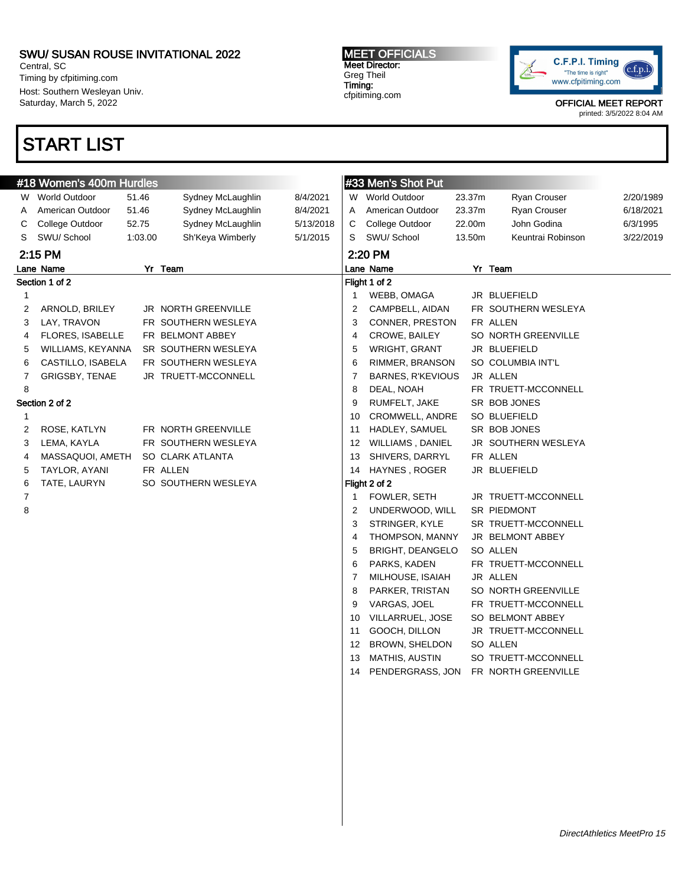Central, SC Timing by cfpitiming.com Host: Southern Wesleyan Univ. Saturday, March 5, 2022

# START LIST

MEET OFFICIALS Meet Director: Greg Theil Timing: cfpitiming.com



OFFICIAL MEET REPORT

|                      | #18 Women's 400m Hurdles |         |                     |           | #33 Men's Shot Put |                          |        |                     |           |
|----------------------|--------------------------|---------|---------------------|-----------|--------------------|--------------------------|--------|---------------------|-----------|
|                      | W World Outdoor          | 51.46   | Sydney McLaughlin   | 8/4/2021  |                    | W World Outdoor          | 23.37m | Ryan Crouser        | 2/20/1989 |
| A                    | American Outdoor         | 51.46   | Sydney McLaughlin   | 8/4/2021  | A                  | American Outdoor         | 23.37m | Ryan Crouser        | 6/18/2021 |
| С                    | College Outdoor          | 52.75   | Sydney McLaughlin   | 5/13/2018 | С                  | College Outdoor          | 22.00m | John Godina         | 6/3/1995  |
| S                    | SWU/ School              | 1:03.00 | Sh'Keya Wimberly    | 5/1/2015  | S                  | SWU/ School              | 13.50m | Keuntrai Robinson   | 3/22/2019 |
| 2:15 PM              |                          |         |                     |           |                    | 2:20 PM                  |        |                     |           |
| Yr Team<br>Lane Name |                          |         |                     |           |                    | Lane Name                |        | Yr Team             |           |
| Section 1 of 2       |                          |         |                     |           |                    | Flight 1 of 2            |        |                     |           |
| 1                    |                          |         |                     |           | 1                  | WEBB, OMAGA              |        | JR BLUEFIELD        |           |
| 2                    | ARNOLD, BRILEY           |         | JR NORTH GREENVILLE |           | 2                  | CAMPBELL, AIDAN          |        | FR SOUTHERN WESLEYA |           |
| 3                    | LAY, TRAVON              |         | FR SOUTHERN WESLEYA |           | 3                  | CONNER, PRESTON          |        | FR ALLEN            |           |
| 4                    | FLORES, ISABELLE         |         | FR BELMONT ABBEY    |           | 4                  | CROWE, BAILEY            |        | SO NORTH GREENVILLE |           |
| 5                    | WILLIAMS, KEYANNA        |         | SR SOUTHERN WESLEYA |           | 5                  | WRIGHT, GRANT            |        | JR BLUEFIELD        |           |
| 6                    | CASTILLO, ISABELA        |         | FR SOUTHERN WESLEYA |           | 6                  | RIMMER, BRANSON          |        | SO COLUMBIA INT'L   |           |
| 7                    | GRIGSBY, TENAE           |         | JR TRUETT-MCCONNELL |           | 7                  | <b>BARNES, R'KEVIOUS</b> |        | JR ALLEN            |           |
| 8                    |                          |         |                     |           | 8                  | DEAL, NOAH               |        | FR TRUETT-MCCONNELL |           |
|                      | Section 2 of 2           |         |                     |           | 9                  | RUMFELT, JAKE            |        | SR BOB JONES        |           |
| $\mathbf{1}$         |                          |         |                     |           | 10                 | CROMWELL, ANDRE          |        | SO BLUEFIELD        |           |
| 2                    | ROSE, KATLYN             |         | FR NORTH GREENVILLE |           | 11                 | HADLEY, SAMUEL           |        | SR BOB JONES        |           |
| 3                    | LEMA, KAYLA              |         | FR SOUTHERN WESLEYA |           | 12                 | WILLIAMS, DANIEL         |        | JR SOUTHERN WESLEYA |           |
| 4                    | MASSAQUOI, AMETH         |         | SO CLARK ATLANTA    |           | 13                 | SHIVERS, DARRYL          |        | FR ALLEN            |           |
| 5                    | TAYLOR, AYANI            |         | FR ALLEN            |           | 14                 | HAYNES, ROGER            |        | JR BLUEFIELD        |           |
| 6                    | TATE, LAURYN             |         | SO SOUTHERN WESLEYA |           |                    | Flight 2 of 2            |        |                     |           |
| $\overline{7}$       |                          |         |                     |           | 1                  | FOWLER, SETH             |        | JR TRUETT-MCCONNELL |           |
| 8                    |                          |         |                     |           | 2                  | UNDERWOOD, WILL          |        | SR PIEDMONT         |           |
|                      |                          |         |                     |           | 3                  | STRINGER, KYLE           |        | SR TRUETT-MCCONNELL |           |
|                      |                          |         |                     |           | 4                  | THOMPSON, MANNY          |        | JR BELMONT ABBEY    |           |
|                      |                          |         |                     |           | 5                  | <b>BRIGHT, DEANGELO</b>  |        | SO ALLEN            |           |
|                      |                          |         |                     |           | 6                  | PARKS, KADEN             |        | FR TRUETT-MCCONNELL |           |
|                      |                          |         |                     |           | 7                  | MILHOUSE, ISAIAH         |        | JR ALLEN            |           |
|                      |                          |         |                     |           | 8                  | PARKER, TRISTAN          |        | SO NORTH GREENVILLE |           |
|                      |                          |         |                     |           | 9                  | VARGAS, JOEL             |        | FR TRUETT-MCCONNELL |           |
|                      |                          |         |                     |           | 10                 | VILLARRUEL, JOSE         |        | SO BELMONT ABBEY    |           |
|                      |                          |         |                     |           | 11                 | GOOCH, DILLON            |        | JR TRUETT-MCCONNELL |           |
|                      |                          |         |                     |           | 12                 | BROWN, SHELDON           |        | SO ALLEN            |           |
|                      |                          |         |                     |           | 13                 | <b>MATHIS, AUSTIN</b>    |        | SO TRUETT-MCCONNELL |           |
|                      |                          |         |                     |           | 14                 | PENDERGRASS, JON         |        | FR NORTH GREENVILLE |           |
|                      |                          |         |                     |           |                    |                          |        |                     |           |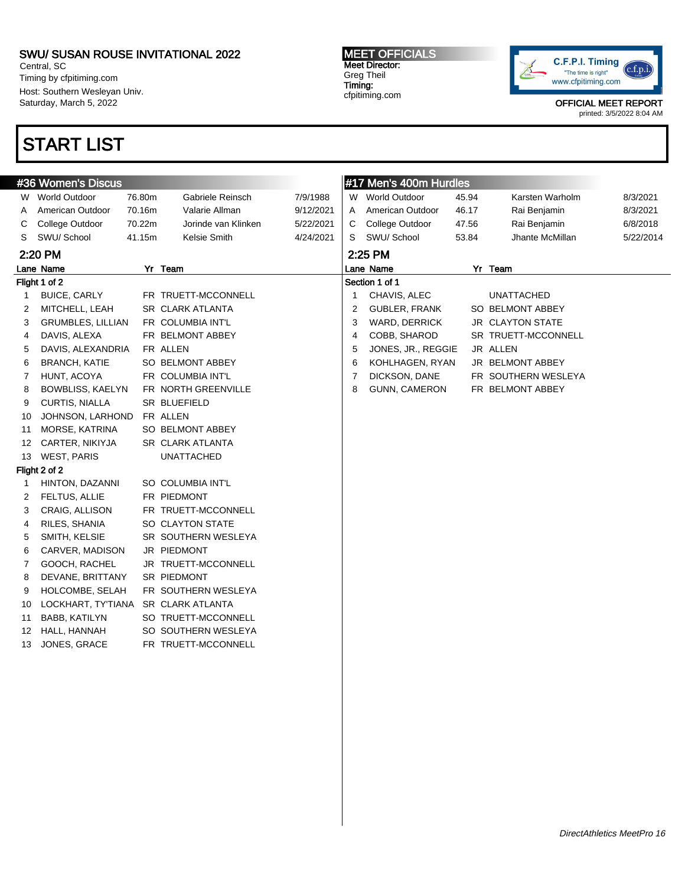Central, SC Timing by cfpitiming.com Host: Southern Wesleyan Univ. Saturday, March 5, 2022

## START LIST

MEET OFFICIALS Meet Director: Greg Theil Timing: cfpitiming.com



OFFICIAL MEET REPORT

|              | #36 Women's Discus       |        |                         |           |   | #17 Men's 400m Hurdles |       |                         |           |
|--------------|--------------------------|--------|-------------------------|-----------|---|------------------------|-------|-------------------------|-----------|
|              | W World Outdoor          | 76.80m | Gabriele Reinsch        | 7/9/1988  | W | <b>World Outdoor</b>   | 45.94 | Karsten Warholm         | 8/3/2021  |
| A            | American Outdoor         | 70.16m | Valarie Allman          | 9/12/2021 | A | American Outdoor       | 46.17 | Rai Benjamin            | 8/3/2021  |
| C            | College Outdoor          | 70.22m | Jorinde van Klinken     | 5/22/2021 | С | College Outdoor        | 47.56 | Rai Benjamin            | 6/8/2018  |
| S            | SWU/School               | 41.15m | Kelsie Smith            | 4/24/2021 | S | SWU/ School            | 53.84 | Jhante McMillan         | 5/22/2014 |
|              | 2:20 PM                  |        |                         |           |   | 2:25 PM                |       |                         |           |
|              | Yr Team<br>Lane Name     |        |                         |           |   | Lane Name              |       | Yr Team                 |           |
|              | Flight 1 of 2            |        |                         |           |   | Section 1 of 1         |       |                         |           |
| $\mathbf{1}$ | <b>BUICE, CARLY</b>      |        | FR TRUETT-MCCONNELL     |           | 1 | CHAVIS, ALEC           |       | <b>UNATTACHED</b>       |           |
| 2            | MITCHELL, LEAH           |        | SR CLARK ATLANTA        |           | 2 | <b>GUBLER, FRANK</b>   |       | SO BELMONT ABBEY        |           |
| 3            | <b>GRUMBLES, LILLIAN</b> |        | FR COLUMBIA INT'L       |           | 3 | WARD, DERRICK          |       | <b>JR CLAYTON STATE</b> |           |
| 4            | DAVIS, ALEXA             |        | FR BELMONT ABBEY        |           | 4 | COBB, SHAROD           |       | SR TRUETT-MCCONNELL     |           |
| 5            | DAVIS, ALEXANDRIA        |        | FR ALLEN                |           | 5 | JONES, JR., REGGIE     |       | JR ALLEN                |           |
| 6            | <b>BRANCH, KATIE</b>     |        | SO BELMONT ABBEY        |           | 6 | KOHLHAGEN, RYAN        |       | JR BELMONT ABBEY        |           |
| 7            | HUNT, ACOYA              |        | FR COLUMBIA INT'L       |           | 7 | DICKSON, DANE          |       | FR SOUTHERN WESLEYA     |           |
| 8            | <b>BOWBLISS, KAELYN</b>  |        | FR NORTH GREENVILLE     |           | 8 | GUNN, CAMERON          |       | FR BELMONT ABBEY        |           |
| 9            | <b>CURTIS, NIALLA</b>    |        | SR BLUEFIELD            |           |   |                        |       |                         |           |
| 10           | JOHNSON, LARHOND         |        | FR ALLEN                |           |   |                        |       |                         |           |
| 11           | MORSE, KATRINA           |        | SO BELMONT ABBEY        |           |   |                        |       |                         |           |
| 12           | CARTER, NIKIYJA          |        | SR CLARK ATLANTA        |           |   |                        |       |                         |           |
| 13           | <b>WEST, PARIS</b>       |        | <b>UNATTACHED</b>       |           |   |                        |       |                         |           |
|              | Flight 2 of 2            |        |                         |           |   |                        |       |                         |           |
| 1            | HINTON, DAZANNI          |        | SO COLUMBIA INT'L       |           |   |                        |       |                         |           |
| 2            | FELTUS, ALLIE            |        | FR PIEDMONT             |           |   |                        |       |                         |           |
| 3            | CRAIG, ALLISON           |        | FR TRUETT-MCCONNELL     |           |   |                        |       |                         |           |
| 4            | RILES, SHANIA            |        | SO CLAYTON STATE        |           |   |                        |       |                         |           |
| 5            | SMITH, KELSIE            |        | SR SOUTHERN WESLEYA     |           |   |                        |       |                         |           |
| 6            | CARVER, MADISON          |        | JR PIEDMONT             |           |   |                        |       |                         |           |
| 7            | GOOCH, RACHEL            |        | JR TRUETT-MCCONNELL     |           |   |                        |       |                         |           |
| 8            | DEVANE, BRITTANY         |        | SR PIEDMONT             |           |   |                        |       |                         |           |
| 9            | HOLCOMBE, SELAH          |        | FR SOUTHERN WESLEYA     |           |   |                        |       |                         |           |
| 10           | LOCKHART, TY'TIANA       |        | <b>SR CLARK ATLANTA</b> |           |   |                        |       |                         |           |
| 11           | BABB, KATILYN            |        | SO TRUETT-MCCONNELL     |           |   |                        |       |                         |           |
| 12           | HALL, HANNAH             |        | SO SOUTHERN WESLEYA     |           |   |                        |       |                         |           |
| 13           | JONES, GRACE             |        | FR TRUETT-MCCONNELL     |           |   |                        |       |                         |           |
|              |                          |        |                         |           |   |                        |       |                         |           |
|              |                          |        |                         |           |   |                        |       |                         |           |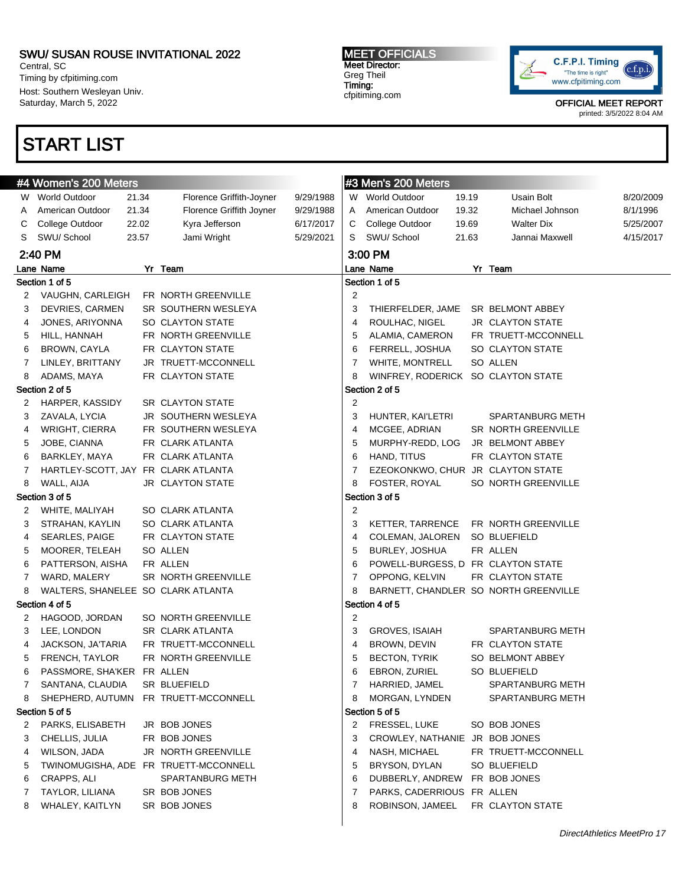Central, SC Timing by cfpitiming.com Host: Southern Wesleyan Univ. Saturday, March 5, 2022

## START LIST

### MEET OFFICIALS Meet Director: Greg Theil Timing: cfpitiming.com



OFFICIAL MEET REPORT

|   | #4 Women's 200 Meters               |       |                                       |           | #3 Men's 200 Meters |                                    |       |                                       |           |  |
|---|-------------------------------------|-------|---------------------------------------|-----------|---------------------|------------------------------------|-------|---------------------------------------|-----------|--|
|   | W World Outdoor                     | 21.34 | Florence Griffith-Joyner              | 9/29/1988 |                     | W World Outdoor                    | 19.19 | Usain Bolt                            | 8/20/2009 |  |
| A | American Outdoor                    | 21.34 | Florence Griffith Joyner              | 9/29/1988 | A                   | American Outdoor                   | 19.32 | Michael Johnson                       | 8/1/1996  |  |
| C | College Outdoor                     | 22.02 | Kyra Jefferson                        | 6/17/2017 | C                   | College Outdoor                    | 19.69 | <b>Walter Dix</b>                     | 5/25/2007 |  |
| S | SWU/ School                         | 23.57 | Jami Wright                           | 5/29/2021 | S                   | SWU/ School                        | 21.63 | Jannai Maxwell                        | 4/15/2017 |  |
|   | 2:40 PM                             |       |                                       |           |                     | 3:00 PM                            |       |                                       |           |  |
|   | Lane Name                           |       | Yr Team                               |           |                     | Lane Name                          |       | Yr Team                               |           |  |
|   | Section 1 of 5                      |       |                                       |           |                     | Section 1 of 5                     |       |                                       |           |  |
|   | 2 VAUGHN, CARLEIGH                  |       | FR NORTH GREENVILLE                   |           | $\overline{2}$      |                                    |       |                                       |           |  |
| 3 | <b>DEVRIES, CARMEN</b>              |       | SR SOUTHERN WESLEYA                   |           | 3                   | THIERFELDER, JAME                  |       | SR BELMONT ABBEY                      |           |  |
| 4 | JONES, ARIYONNA                     |       | SO CLAYTON STATE                      |           | 4                   | ROULHAC, NIGEL                     |       | <b>JR CLAYTON STATE</b>               |           |  |
| 5 | HILL, HANNAH                        |       | FR NORTH GREENVILLE                   |           | 5                   | ALAMIA, CAMERON                    |       | FR TRUETT-MCCONNELL                   |           |  |
| 6 | BROWN, CAYLA                        |       | FR CLAYTON STATE                      |           | 6                   | FERRELL, JOSHUA                    |       | SO CLAYTON STATE                      |           |  |
| 7 | LINLEY, BRITTANY                    |       | JR TRUETT-MCCONNELL                   |           | 7                   | WHITE, MONTRELL                    |       | SO ALLEN                              |           |  |
| 8 | ADAMS, MAYA                         |       | FR CLAYTON STATE                      |           | 8                   | WINFREY, RODERICK SO CLAYTON STATE |       |                                       |           |  |
|   | Section 2 of 5                      |       |                                       |           |                     | Section 2 of 5                     |       |                                       |           |  |
| 2 | HARPER, KASSIDY                     |       | <b>SR CLAYTON STATE</b>               |           | $\overline{2}$      |                                    |       |                                       |           |  |
| З | ZAVALA, LYCIA                       |       | JR SOUTHERN WESLEYA                   |           | 3                   | HUNTER, KAI'LETRI                  |       | <b>SPARTANBURG METH</b>               |           |  |
| 4 | WRIGHT, CIERRA                      |       | FR SOUTHERN WESLEYA                   |           | 4                   | MCGEE, ADRIAN                      |       | SR NORTH GREENVILLE                   |           |  |
| 5 | JOBE, CIANNA                        |       | FR CLARK ATLANTA                      |           | 5                   | MURPHY-REDD, LOG                   |       | JR BELMONT ABBEY                      |           |  |
| 6 | BARKLEY, MAYA                       |       | FR CLARK ATLANTA                      |           | 6                   | HAND, TITUS                        |       | FR CLAYTON STATE                      |           |  |
| 7 | HARTLEY-SCOTT, JAY FR CLARK ATLANTA |       |                                       |           | 7                   | EZEOKONKWO, CHUR JR CLAYTON STATE  |       |                                       |           |  |
| 8 | WALL, AIJA                          |       | JR CLAYTON STATE                      |           | 8                   | FOSTER, ROYAL                      |       | SO NORTH GREENVILLE                   |           |  |
|   | Section 3 of 5                      |       |                                       |           |                     | Section 3 of 5                     |       |                                       |           |  |
| 2 | WHITE, MALIYAH                      |       | SO CLARK ATLANTA                      |           | $\overline{2}$      |                                    |       |                                       |           |  |
| З | STRAHAN, KAYLIN                     |       | SO CLARK ATLANTA                      |           | 3                   | KETTER, TARRENCE                   |       | FR NORTH GREENVILLE                   |           |  |
| 4 | SEARLES, PAIGE                      |       | FR CLAYTON STATE                      |           | 4                   | COLEMAN, JALOREN                   |       | SO BLUEFIELD                          |           |  |
| 5 | MOORER, TELEAH                      |       | SO ALLEN                              |           | 5                   | BURLEY, JOSHUA                     |       | FR ALLEN                              |           |  |
| 6 | PATTERSON, AISHA                    |       | FR ALLEN                              |           | 6                   | POWELL-BURGESS, D FR CLAYTON STATE |       |                                       |           |  |
| 7 | WARD, MALERY                        |       | SR NORTH GREENVILLE                   |           | 7                   | OPPONG, KELVIN                     |       | FR CLAYTON STATE                      |           |  |
| 8 | WALTERS, SHANELEE SO CLARK ATLANTA  |       |                                       |           | 8                   |                                    |       | BARNETT, CHANDLER SO NORTH GREENVILLE |           |  |
|   | Section 4 of 5                      |       |                                       |           |                     | Section 4 of 5                     |       |                                       |           |  |
| 2 | HAGOOD, JORDAN                      |       | SO NORTH GREENVILLE                   |           | $\overline{2}$      |                                    |       |                                       |           |  |
| 3 | LEE, LONDON                         |       | SR CLARK ATLANTA                      |           | 3                   | <b>GROVES, ISAIAH</b>              |       | <b>SPARTANBURG METH</b>               |           |  |
| 4 | JACKSON, JA'TARIA                   |       | FR TRUETT-MCCONNELL                   |           | 4                   | BROWN, DEVIN                       |       | FR CLAYTON STATE                      |           |  |
| 5 | FRENCH, TAYLOR                      |       | FR NORTH GREENVILLE                   |           | 5                   | <b>BECTON, TYRIK</b>               |       | SO BELMONT ABBEY                      |           |  |
| 6 | PASSMORE, SHA'KER FR ALLEN          |       |                                       |           | 6                   | EBRON, ZURIEL                      |       | SO BLUEFIELD                          |           |  |
| 7 | SANTANA, CLAUDIA                    |       | SR BLUEFIELD                          |           | 7                   | HARRIED, JAMEL                     |       | SPARTANBURG METH                      |           |  |
| 8 | SHEPHERD, AUTUMN                    |       | FR TRUETT-MCCONNELL                   |           | 8                   | MORGAN, LYNDEN                     |       | SPARTANBURG METH                      |           |  |
|   | Section 5 of 5                      |       |                                       |           |                     | Section 5 of 5                     |       |                                       |           |  |
| 2 | PARKS, ELISABETH                    |       | JR BOB JONES                          |           | 2                   | <b>FRESSEL, LUKE</b>               |       | SO BOB JONES                          |           |  |
| 3 | CHELLIS, JULIA                      |       | FR BOB JONES                          |           | 3                   | CROWLEY, NATHANIE JR BOB JONES     |       |                                       |           |  |
| 4 | WILSON, JADA                        |       | JR NORTH GREENVILLE                   |           | 4                   | NASH, MICHAEL                      |       | FR TRUETT-MCCONNELL                   |           |  |
| 5 |                                     |       | TWINOMUGISHA, ADE FR TRUETT-MCCONNELL |           | 5                   | BRYSON, DYLAN                      |       | SO BLUEFIELD                          |           |  |
| 6 | CRAPPS, ALI                         |       | SPARTANBURG METH                      |           | 6                   | DUBBERLY, ANDREW                   |       | FR BOB JONES                          |           |  |
| 7 | TAYLOR, LILIANA                     |       | SR BOB JONES                          |           | 7                   | PARKS, CADERRIOUS FR ALLEN         |       |                                       |           |  |
| 8 | WHALEY, KAITLYN                     |       | SR BOB JONES                          |           | 8                   | ROBINSON, JAMEEL                   |       | FR CLAYTON STATE                      |           |  |
|   |                                     |       |                                       |           |                     |                                    |       |                                       |           |  |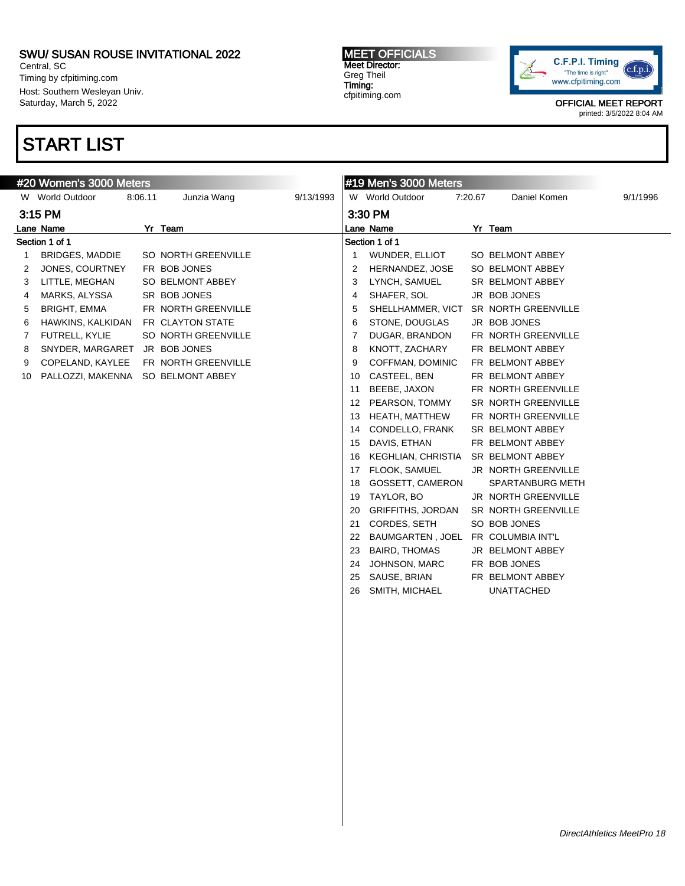Central, SC Timing by cfpitiming.com Host: Southern Wesleyan Univ. Saturday, March 5, 2022

## START LIST

#### #20 Women's 3000 Meters W World Outdoor 8:06.11 Junzia Wang 9/13/1993 3:15 PM Lane Name Yr Team Section 1 of 1 1 BRIDGES, MADDIE SO NORTH GREENVILLE 2 JONES, COURTNEY FR BOB JONES 3 LITTLE, MEGHAN SO BELMONT ABBEY 4 MARKS, ALYSSA SR BOB JONES 5 BRIGHT, EMMA FR NORTH GREENVILLE 6 HAWKINS, KALKIDAN FR CLAYTON STATE 7 FUTRELL, KYLIE SO NORTH GREENVILLE 8 SNYDER, MARGARET JR BOB JONES 9 COPELAND, KAYLEE FR NORTH GREENVILLE 10 PALLOZZI, MAKENNA SO BELMONT ABBEY #19 Men's 3000 Meters W World Outdoor 7:20.67 Daniel Komen 9/1/1996 3:30 PM Lane Name Yr Team Section 1 of 1 1 WUNDER, ELLIOT SO BELMONT ABBEY 2 HERNANDEZ, JOSE SO BELMONT ABBEY 3 LYNCH, SAMUEL SR BELMONT ABBEY 4 SHAFER, SOL JR BOB JONES 5 SHELLHAMMER, VICT SR NORTH GREENVILLE 6 STONE, DOUGLAS JR BOB JONES 7 DUGAR, BRANDON FR NORTH GREENVILLE 8 KNOTT, ZACHARY FR BELMONT ABBEY 9 COFFMAN, DOMINIC FR BELMONT ABBEY 10 CASTEEL, BEN FR BELMONT ABBEY 11 BEEBE, JAXON FR NORTH GREENVILLE 12 PEARSON, TOMMY SR NORTH GREENVILLE 13 HEATH, MATTHEW FR NORTH GREENVILLE 14 CONDELLO, FRANK SR BELMONT ABBEY 15 DAVIS, ETHAN FR BELMONT ABBEY 16 KEGHLIAN, CHRISTIA SR BELMONT ABBEY 17 FLOOK, SAMUEL JR NORTH GREENVILLE 18 GOSSETT, CAMERON SPARTANBURG METH 19 TAYLOR, BO JR NORTH GREENVILLE 20 GRIFFITHS, JORDAN SR NORTH GREENVILLE 21 CORDES, SETH SO BOB JONES 22 BAUMGARTEN , JOEL FR COLUMBIA INT'L 23 BAIRD, THOMAS JR BELMONT ABBEY 24 JOHNSON, MARC FR BOB JONES 25 SAUSE, BRIAN FR BELMONT ABBEY 26 SMITH, MICHAEL UNATTACHED

MEET OFFICIALS Meet Director: Greg Theil Timing: cfpitiming.com



OFFICIAL MEET REPORT